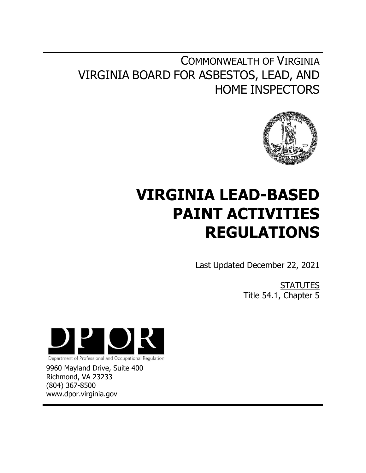## COMMONWEALTH OF VIRGINIA VIRGINIA BOARD FOR ASBESTOS, LEAD, AND HOME INSPECTORS



# **VIRGINIA LEAD-BASED PAINT ACTIVITIES REGULATIONS**

Last Updated December 22, 2021

**STATUTES** Title 54.1, Chapter 5



Department of Professional and Occupational Regulation

9960 Mayland Drive, Suite 400 Richmond, VA 23233 (804) 367-8500 www.dpor.virginia.gov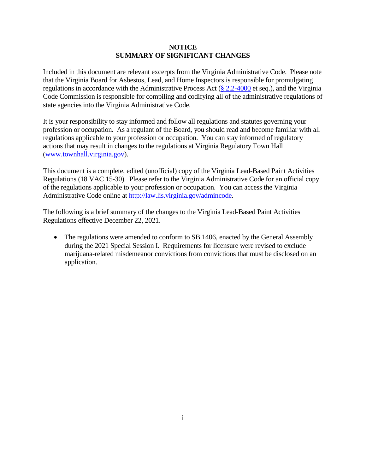## **NOTICE SUMMARY OF SIGNIFICANT CHANGES**

Included in this document are relevant excerpts from the Virginia Administrative Code. Please note that the Virginia Board for Asbestos, Lead, and Home Inspectors is responsible for promulgating regulations in accordance with the Administrative Process Act [\(§ 2.2-4000](https://law.lis.virginia.gov/vacode/title2.2/chapter40/section2.2-4000/) et seq.), and the Virginia Code Commission is responsible for compiling and codifying all of the administrative regulations of state agencies into the Virginia Administrative Code.

It is your responsibility to stay informed and follow all regulations and statutes governing your profession or occupation. As a regulant of the Board, you should read and become familiar with all regulations applicable to your profession or occupation. You can stay informed of regulatory actions that may result in changes to the regulations at Virginia Regulatory Town Hall [\(www.townhall.virginia.gov\)](http://www.townhall.virginia.gov/).

This document is a complete, edited (unofficial) copy of the Virginia Lead-Based Paint Activities Regulations (18 VAC 15-30). Please refer to the Virginia Administrative Code for an official copy of the regulations applicable to your profession or occupation. You can access the Virginia Administrative Code online at [http://law.lis.virginia.gov/admincode.](http://law.lis.virginia.gov/admincode)

The following is a brief summary of the changes to the Virginia Lead-Based Paint Activities Regulations effective December 22, 2021.

 The regulations were amended to conform to SB 1406, enacted by the General Assembly during the 2021 Special Session I. Requirements for licensure were revised to exclude marijuana-related misdemeanor convictions from convictions that must be disclosed on an application.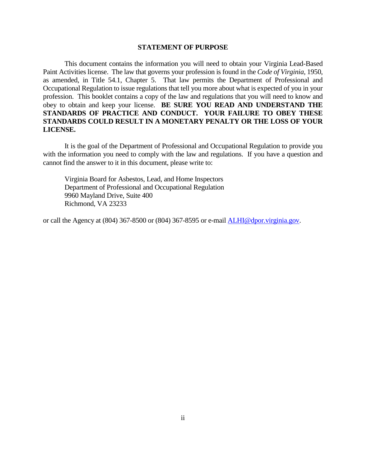#### **STATEMENT OF PURPOSE**

This document contains the information you will need to obtain your Virginia Lead-Based Paint Activities license. The law that governs your profession is found in the *Code of Virginia*, 1950, as amended, in Title 54.1, Chapter 5. That law permits the Department of Professional and Occupational Regulation to issue regulations that tell you more about what is expected of you in your profession. This booklet contains a copy of the law and regulations that you will need to know and obey to obtain and keep your license. **BE SURE YOU READ AND UNDERSTAND THE STANDARDS OF PRACTICE AND CONDUCT. YOUR FAILURE TO OBEY THESE STANDARDS COULD RESULT IN A MONETARY PENALTY OR THE LOSS OF YOUR LICENSE.**

It is the goal of the Department of Professional and Occupational Regulation to provide you with the information you need to comply with the law and regulations. If you have a question and cannot find the answer to it in this document, please write to:

Virginia Board for Asbestos, Lead, and Home Inspectors Department of Professional and Occupational Regulation 9960 Mayland Drive, Suite 400 Richmond, VA 23233

or call the Agency at (804) 367-8500 or (804) 367-8595 or e-mail [ALHI@dpor.virginia.gov.](mailto:ALHI@dpor.virginia.gov)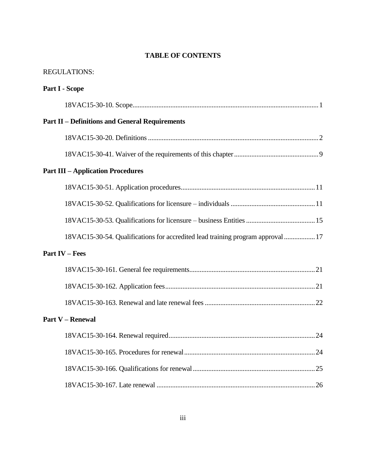## **TABLE OF CONTENTS**

| <b>REGULATIONS:</b>                                                             |
|---------------------------------------------------------------------------------|
| <b>Part I - Scope</b>                                                           |
|                                                                                 |
| <b>Part II – Definitions and General Requirements</b>                           |
|                                                                                 |
|                                                                                 |
| <b>Part III - Application Procedures</b>                                        |
|                                                                                 |
|                                                                                 |
|                                                                                 |
| 18VAC15-30-54. Qualifications for accredited lead training program approval  17 |
| <b>Part IV – Fees</b>                                                           |
|                                                                                 |
|                                                                                 |
|                                                                                 |
| <b>Part V - Renewal</b>                                                         |
|                                                                                 |
|                                                                                 |
|                                                                                 |
|                                                                                 |
|                                                                                 |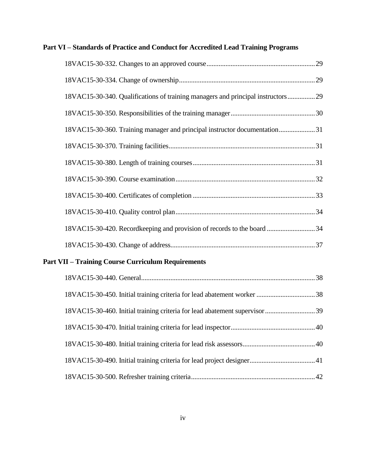| Part VI - Standards of Practice and Conduct for Accredited Lead Training Programs |  |
|-----------------------------------------------------------------------------------|--|
|                                                                                   |  |
|                                                                                   |  |
| 18VAC15-30-340. Qualifications of training managers and principal instructors29   |  |
|                                                                                   |  |
| 18VAC15-30-360. Training manager and principal instructor documentation31         |  |
|                                                                                   |  |
|                                                                                   |  |
|                                                                                   |  |
|                                                                                   |  |
|                                                                                   |  |
| 18VAC15-30-420. Recordkeeping and provision of records to the board 34            |  |
|                                                                                   |  |
|                                                                                   |  |

## **Part VII – Training Course Curriculum Requirements**

| 18VAC15-30-460. Initial training criteria for lead abatement supervisor 39 |  |
|----------------------------------------------------------------------------|--|
|                                                                            |  |
|                                                                            |  |
|                                                                            |  |
|                                                                            |  |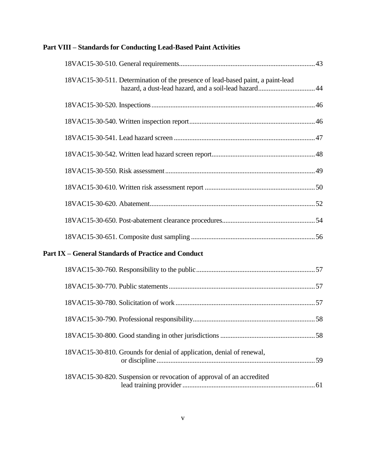| Part VIII – Standards for Conducting Lead-Based Paint Activities                |  |
|---------------------------------------------------------------------------------|--|
|                                                                                 |  |
| 18VAC15-30-511. Determination of the presence of lead-based paint, a paint-lead |  |
|                                                                                 |  |
|                                                                                 |  |
|                                                                                 |  |
|                                                                                 |  |
|                                                                                 |  |
|                                                                                 |  |
|                                                                                 |  |
|                                                                                 |  |
|                                                                                 |  |
| <b>Part IX - General Standards of Practice and Conduct</b>                      |  |
|                                                                                 |  |
|                                                                                 |  |
|                                                                                 |  |
|                                                                                 |  |
|                                                                                 |  |
| 18VAC15-30-810. Grounds for denial of application, denial of renewal,           |  |
| 18VAC15-30-820. Suspension or revocation of approval of an accredited           |  |

## **Part VIII – Standards for Conducting Lead-Based Paint Activities**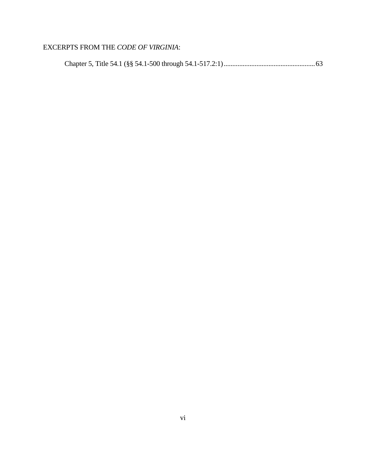## EXCERPTS FROM THE *CODE OF VIRGINIA*:

|--|--|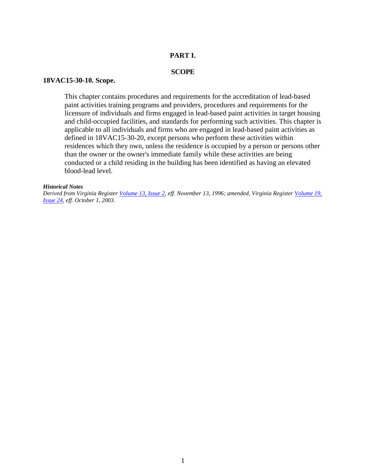## **PART I.**

## **SCOPE**

#### **18VAC15-30-10. Scope.**

This chapter contains procedures and requirements for the accreditation of lead-based paint activities training programs and providers, procedures and requirements for the licensure of individuals and firms engaged in lead-based paint activities in target housing and child-occupied facilities, and standards for performing such activities. This chapter is applicable to all individuals and firms who are engaged in lead-based paint activities as defined in 18VAC15-30-20, except persons who perform these activities within residences which they own, unless the residence is occupied by a person or persons other than the owner or the owner's immediate family while these activities are being conducted or a child residing in the building has been identified as having an elevated blood-lead level.

#### *Historical Notes*

*Derived from Virginia Register [Volume 13, Issue 2,](http://register.dls.virginia.gov/vol13/iss02/v13i02.pdf) eff. November 13, 1996; amended, Virginia Register [Volume 19,](http://register.dls.virginia.gov/vol19/iss24/v19i24.pdf)  [Issue](http://register.dls.virginia.gov/vol19/iss24/v19i24.pdf) 24, eff. October 1, 2003.*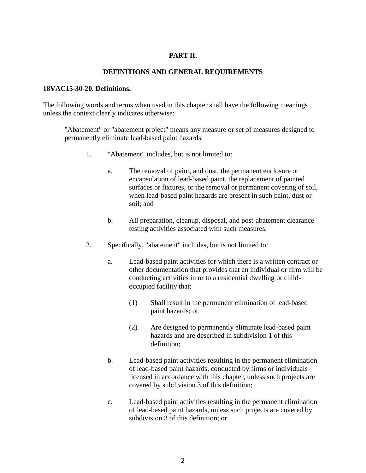## **PART II.**

## **DEFINITIONS AND GENERAL REQUIREMENTS**

## **18VAC15-30-20. Definitions.**

The following words and terms when used in this chapter shall have the following meanings unless the context clearly indicates otherwise:

"Abatement" or "abatement project" means any measure or set of measures designed to permanently eliminate lead-based paint hazards.

- 1. "Abatement" includes, but is not limited to:
	- a. The removal of paint, and dust, the permanent enclosure or encapsulation of lead-based paint, the replacement of painted surfaces or fixtures, or the removal or permanent covering of soil, when lead-based paint hazards are present in such paint, dust or soil; and
	- b. All preparation, cleanup, disposal, and post-abatement clearance testing activities associated with such measures.
- 2. Specifically, "abatement" includes, but is not limited to:
	- a. Lead-based paint activities for which there is a written contract or other documentation that provides that an individual or firm will be conducting activities in or to a residential dwelling or childoccupied facility that:
		- (1) Shall result in the permanent elimination of lead-based paint hazards; or
		- (2) Are designed to permanently eliminate lead-based paint hazards and are described in subdivision 1 of this definition;
	- b. Lead-based paint activities resulting in the permanent elimination of lead-based paint hazards, conducted by firms or individuals licensed in accordance with this chapter, unless such projects are covered by subdivision 3 of this definition;
	- c. Lead-based paint activities resulting in the permanent elimination of lead-based paint hazards, unless such projects are covered by subdivision 3 of this definition; or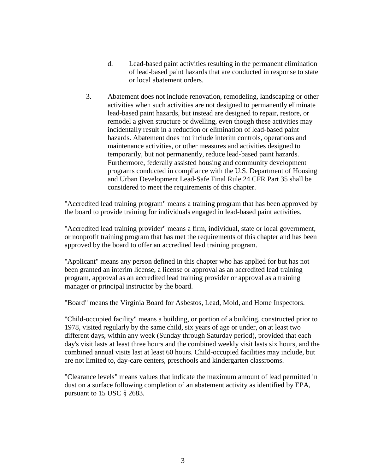- d. Lead-based paint activities resulting in the permanent elimination of lead-based paint hazards that are conducted in response to state or local abatement orders.
- 3. Abatement does not include renovation, remodeling, landscaping or other activities when such activities are not designed to permanently eliminate lead-based paint hazards, but instead are designed to repair, restore, or remodel a given structure or dwelling, even though these activities may incidentally result in a reduction or elimination of lead-based paint hazards. Abatement does not include interim controls, operations and maintenance activities, or other measures and activities designed to temporarily, but not permanently, reduce lead-based paint hazards. Furthermore, federally assisted housing and community development programs conducted in compliance with the U.S. Department of Housing and Urban Development Lead-Safe Final Rule 24 CFR Part 35 shall be considered to meet the requirements of this chapter.

"Accredited lead training program" means a training program that has been approved by the board to provide training for individuals engaged in lead-based paint activities.

"Accredited lead training provider" means a firm, individual, state or local government, or nonprofit training program that has met the requirements of this chapter and has been approved by the board to offer an accredited lead training program.

"Applicant" means any person defined in this chapter who has applied for but has not been granted an interim license, a license or approval as an accredited lead training program, approval as an accredited lead training provider or approval as a training manager or principal instructor by the board.

"Board" means the Virginia Board for Asbestos, Lead, Mold, and Home Inspectors.

"Child-occupied facility" means a building, or portion of a building, constructed prior to 1978, visited regularly by the same child, six years of age or under, on at least two different days, within any week (Sunday through Saturday period), provided that each day's visit lasts at least three hours and the combined weekly visit lasts six hours, and the combined annual visits last at least 60 hours. Child-occupied facilities may include, but are not limited to, day-care centers, preschools and kindergarten classrooms.

"Clearance levels" means values that indicate the maximum amount of lead permitted in dust on a surface following completion of an abatement activity as identified by EPA, pursuant to 15 USC § 2683.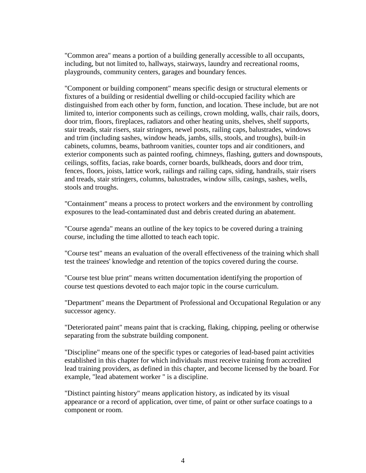"Common area" means a portion of a building generally accessible to all occupants, including, but not limited to, hallways, stairways, laundry and recreational rooms, playgrounds, community centers, garages and boundary fences.

"Component or building component" means specific design or structural elements or fixtures of a building or residential dwelling or child-occupied facility which are distinguished from each other by form, function, and location. These include, but are not limited to, interior components such as ceilings, crown molding, walls, chair rails, doors, door trim, floors, fireplaces, radiators and other heating units, shelves, shelf supports, stair treads, stair risers, stair stringers, newel posts, railing caps, balustrades, windows and trim (including sashes, window heads, jambs, sills, stools, and troughs), built-in cabinets, columns, beams, bathroom vanities, counter tops and air conditioners, and exterior components such as painted roofing, chimneys, flashing, gutters and downspouts, ceilings, soffits, facias, rake boards, corner boards, bulkheads, doors and door trim, fences, floors, joists, lattice work, railings and railing caps, siding, handrails, stair risers and treads, stair stringers, columns, balustrades, window sills, casings, sashes, wells, stools and troughs.

"Containment" means a process to protect workers and the environment by controlling exposures to the lead-contaminated dust and debris created during an abatement.

"Course agenda" means an outline of the key topics to be covered during a training course, including the time allotted to teach each topic.

"Course test" means an evaluation of the overall effectiveness of the training which shall test the trainees' knowledge and retention of the topics covered during the course.

"Course test blue print" means written documentation identifying the proportion of course test questions devoted to each major topic in the course curriculum.

"Department" means the Department of Professional and Occupational Regulation or any successor agency.

"Deteriorated paint" means paint that is cracking, flaking, chipping, peeling or otherwise separating from the substrate building component.

"Discipline" means one of the specific types or categories of lead-based paint activities established in this chapter for which individuals must receive training from accredited lead training providers, as defined in this chapter, and become licensed by the board. For example, "lead abatement worker " is a discipline.

"Distinct painting history" means application history, as indicated by its visual appearance or a record of application, over time, of paint or other surface coatings to a component or room.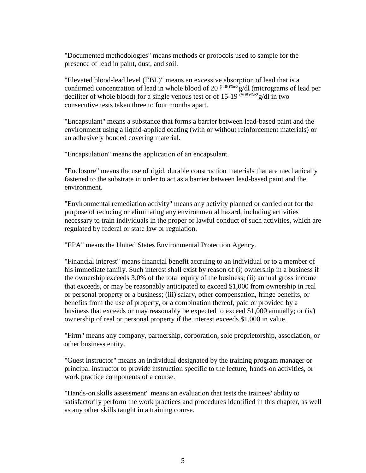"Documented methodologies" means methods or protocols used to sample for the presence of lead in paint, dust, and soil.

"Elevated blood-lead level (EBL)" means an excessive absorption of lead that is a confirmed concentration of lead in whole blood of 20<sup> $(508)$ %e2</sup>g/dl (micrograms of lead per deciliter of whole blood) for a single venous test or of 15-19  $\frac{(508)\%e2}{(508)\%e2}$  and two consecutive tests taken three to four months apart.

"Encapsulant" means a substance that forms a barrier between lead-based paint and the environment using a liquid-applied coating (with or without reinforcement materials) or an adhesively bonded covering material.

"Encapsulation" means the application of an encapsulant.

"Enclosure" means the use of rigid, durable construction materials that are mechanically fastened to the substrate in order to act as a barrier between lead-based paint and the environment.

"Environmental remediation activity" means any activity planned or carried out for the purpose of reducing or eliminating any environmental hazard, including activities necessary to train individuals in the proper or lawful conduct of such activities, which are regulated by federal or state law or regulation.

"EPA" means the United States Environmental Protection Agency.

"Financial interest" means financial benefit accruing to an individual or to a member of his immediate family. Such interest shall exist by reason of (i) ownership in a business if the ownership exceeds 3.0% of the total equity of the business; (ii) annual gross income that exceeds, or may be reasonably anticipated to exceed \$1,000 from ownership in real or personal property or a business; (iii) salary, other compensation, fringe benefits, or benefits from the use of property, or a combination thereof, paid or provided by a business that exceeds or may reasonably be expected to exceed \$1,000 annually; or (iv) ownership of real or personal property if the interest exceeds \$1,000 in value.

"Firm" means any company, partnership, corporation, sole proprietorship, association, or other business entity.

"Guest instructor" means an individual designated by the training program manager or principal instructor to provide instruction specific to the lecture, hands-on activities, or work practice components of a course.

"Hands-on skills assessment" means an evaluation that tests the trainees' ability to satisfactorily perform the work practices and procedures identified in this chapter, as well as any other skills taught in a training course.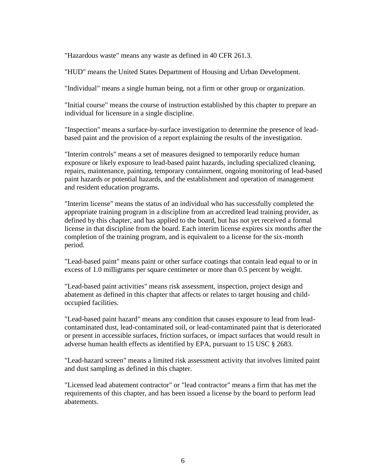"Hazardous waste" means any waste as defined in 40 CFR 261.3.

"HUD" means the United States Department of Housing and Urban Development.

"Individual" means a single human being, not a firm or other group or organization.

"Initial course" means the course of instruction established by this chapter to prepare an individual for licensure in a single discipline.

"Inspection" means a surface-by-surface investigation to determine the presence of leadbased paint and the provision of a report explaining the results of the investigation.

"Interim controls" means a set of measures designed to temporarily reduce human exposure or likely exposure to lead-based paint hazards, including specialized cleaning, repairs, maintenance, painting, temporary containment, ongoing monitoring of lead-based paint hazards or potential hazards, and the establishment and operation of management and resident education programs.

"Interim license" means the status of an individual who has successfully completed the appropriate training program in a discipline from an accredited lead training provider, as defined by this chapter, and has applied to the board, but has not yet received a formal license in that discipline from the board. Each interim license expires six months after the completion of the training program, and is equivalent to a license for the six-month period.

"Lead-based paint" means paint or other surface coatings that contain lead equal to or in excess of 1.0 milligrams per square centimeter or more than 0.5 percent by weight.

"Lead-based paint activities" means risk assessment, inspection, project design and abatement as defined in this chapter that affects or relates to target housing and childoccupied facilities.

"Lead-based paint hazard" means any condition that causes exposure to lead from leadcontaminated dust, lead-contaminated soil, or lead-contaminated paint that is deteriorated or present in accessible surfaces, friction surfaces, or impact surfaces that would result in adverse human health effects as identified by EPA, pursuant to 15 USC § 2683.

"Lead-hazard screen" means a limited risk assessment activity that involves limited paint and dust sampling as defined in this chapter.

"Licensed lead abatement contractor" or "lead contractor" means a firm that has met the requirements of this chapter, and has been issued a license by the board to perform lead abatements.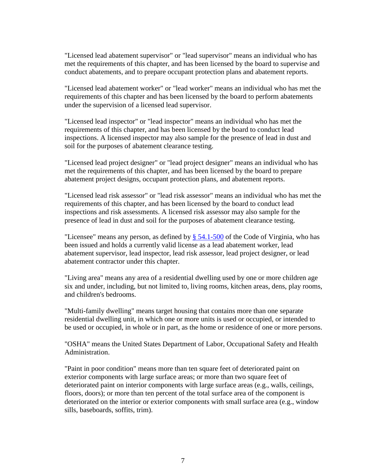"Licensed lead abatement supervisor" or "lead supervisor" means an individual who has met the requirements of this chapter, and has been licensed by the board to supervise and conduct abatements, and to prepare occupant protection plans and abatement reports.

"Licensed lead abatement worker" or "lead worker" means an individual who has met the requirements of this chapter and has been licensed by the board to perform abatements under the supervision of a licensed lead supervisor.

"Licensed lead inspector" or "lead inspector" means an individual who has met the requirements of this chapter, and has been licensed by the board to conduct lead inspections. A licensed inspector may also sample for the presence of lead in dust and soil for the purposes of abatement clearance testing.

"Licensed lead project designer" or "lead project designer" means an individual who has met the requirements of this chapter, and has been licensed by the board to prepare abatement project designs, occupant protection plans, and abatement reports.

"Licensed lead risk assessor" or "lead risk assessor" means an individual who has met the requirements of this chapter, and has been licensed by the board to conduct lead inspections and risk assessments. A licensed risk assessor may also sample for the presence of lead in dust and soil for the purposes of abatement clearance testing.

"Licensee" means any person, as defined by  $\S$  54.1-500 of the Code of Virginia, who has been issued and holds a currently valid license as a lead abatement worker, lead abatement supervisor, lead inspector, lead risk assessor, lead project designer, or lead abatement contractor under this chapter.

"Living area" means any area of a residential dwelling used by one or more children age six and under, including, but not limited to, living rooms, kitchen areas, dens, play rooms, and children's bedrooms.

"Multi-family dwelling" means target housing that contains more than one separate residential dwelling unit, in which one or more units is used or occupied, or intended to be used or occupied, in whole or in part, as the home or residence of one or more persons.

"OSHA" means the United States Department of Labor, Occupational Safety and Health Administration.

"Paint in poor condition" means more than ten square feet of deteriorated paint on exterior components with large surface areas; or more than two square feet of deteriorated paint on interior components with large surface areas (e.g., walls, ceilings, floors, doors); or more than ten percent of the total surface area of the component is deteriorated on the interior or exterior components with small surface area (e.g., window sills, baseboards, soffits, trim).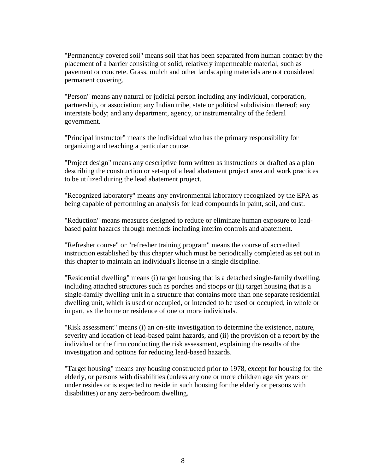"Permanently covered soil" means soil that has been separated from human contact by the placement of a barrier consisting of solid, relatively impermeable material, such as pavement or concrete. Grass, mulch and other landscaping materials are not considered permanent covering.

"Person" means any natural or judicial person including any individual, corporation, partnership, or association; any Indian tribe, state or political subdivision thereof; any interstate body; and any department, agency, or instrumentality of the federal government.

"Principal instructor" means the individual who has the primary responsibility for organizing and teaching a particular course.

"Project design" means any descriptive form written as instructions or drafted as a plan describing the construction or set-up of a lead abatement project area and work practices to be utilized during the lead abatement project.

"Recognized laboratory" means any environmental laboratory recognized by the EPA as being capable of performing an analysis for lead compounds in paint, soil, and dust.

"Reduction" means measures designed to reduce or eliminate human exposure to leadbased paint hazards through methods including interim controls and abatement.

"Refresher course" or "refresher training program" means the course of accredited instruction established by this chapter which must be periodically completed as set out in this chapter to maintain an individual's license in a single discipline.

"Residential dwelling" means (i) target housing that is a detached single-family dwelling, including attached structures such as porches and stoops or (ii) target housing that is a single-family dwelling unit in a structure that contains more than one separate residential dwelling unit, which is used or occupied, or intended to be used or occupied, in whole or in part, as the home or residence of one or more individuals.

"Risk assessment" means (i) an on-site investigation to determine the existence, nature, severity and location of lead-based paint hazards, and (ii) the provision of a report by the individual or the firm conducting the risk assessment, explaining the results of the investigation and options for reducing lead-based hazards.

"Target housing" means any housing constructed prior to 1978, except for housing for the elderly, or persons with disabilities (unless any one or more children age six years or under resides or is expected to reside in such housing for the elderly or persons with disabilities) or any zero-bedroom dwelling.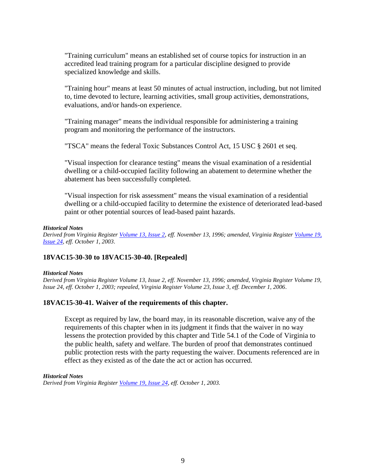"Training curriculum" means an established set of course topics for instruction in an accredited lead training program for a particular discipline designed to provide specialized knowledge and skills.

"Training hour" means at least 50 minutes of actual instruction, including, but not limited to, time devoted to lecture, learning activities, small group activities, demonstrations, evaluations, and/or hands-on experience.

"Training manager" means the individual responsible for administering a training program and monitoring the performance of the instructors.

"TSCA" means the federal Toxic Substances Control Act, 15 USC § 2601 et seq.

"Visual inspection for clearance testing" means the visual examination of a residential dwelling or a child-occupied facility following an abatement to determine whether the abatement has been successfully completed.

"Visual inspection for risk assessment" means the visual examination of a residential dwelling or a child-occupied facility to determine the existence of deteriorated lead-based paint or other potential sources of lead-based paint hazards.

#### *Historical Notes*

*Derived from Virginia Register [Volume 13, Issue 2,](http://register.dls.virginia.gov/vol13/iss02/v13i02.pdf) eff. November 13, 1996; amended, Virginia Register [Volume 19,](http://register.dls.virginia.gov/vol19/iss24/v19i24.pdf)  [Issue 24,](http://register.dls.virginia.gov/vol19/iss24/v19i24.pdf) eff. October 1, 2003.* 

## **18VAC15-30-30 to 18VAC15-30-40. [Repealed]**

#### *Historical Notes*

*Derived from Virginia Register Volume 13, Issue 2, eff. November 13, 1996; amended, Virginia Register Volume 19, Issue 24, eff. October 1, 2003; repealed, Virginia Register Volume 23, Issue 3, eff. December 1, 2006.* 

## **18VAC15-30-41. Waiver of the requirements of this chapter.**

Except as required by law, the board may, in its reasonable discretion, waive any of the requirements of this chapter when in its judgment it finds that the waiver in no way lessens the protection provided by this chapter and Title 54.1 of the Code of Virginia to the public health, safety and welfare. The burden of proof that demonstrates continued public protection rests with the party requesting the waiver. Documents referenced are in effect as they existed as of the date the act or action has occurred.

#### *Historical Notes*

*Derived from Virginia Register [Volume 19, Issue 24,](http://register.dls.virginia.gov/vol19/iss24/v19i24.pdf) eff. October 1, 2003.*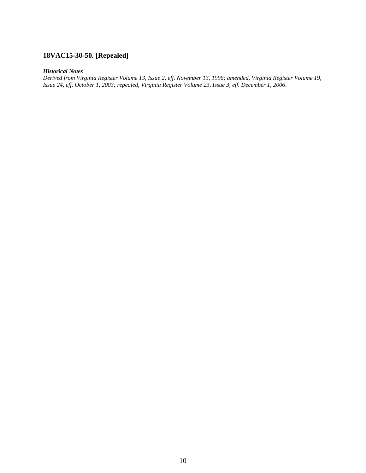## **18VAC15-30-50. [Repealed]**

## *Historical Notes*

*Derived from Virginia Register Volume 13, Issue 2, eff. November 13, 1996; amended, Virginia Register Volume 19, Issue 24, eff. October 1, 2003; repealed, Virginia Register Volume 23, Issue 3, eff. December 1, 2006.*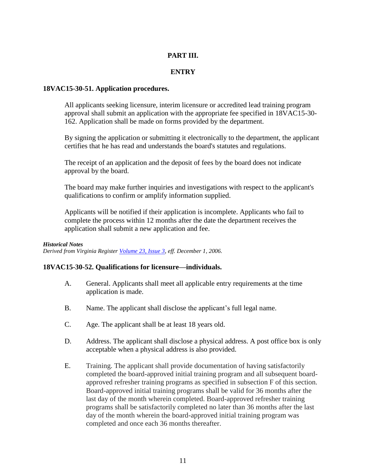## **PART III.**

## **ENTRY**

## **18VAC15-30-51. Application procedures.**

All applicants seeking licensure, interim licensure or accredited lead training program approval shall submit an application with the appropriate fee specified in 18VAC15-30- 162. Application shall be made on forms provided by the department.

By signing the application or submitting it electronically to the department, the applicant certifies that he has read and understands the board's statutes and regulations.

The receipt of an application and the deposit of fees by the board does not indicate approval by the board.

The board may make further inquiries and investigations with respect to the applicant's qualifications to confirm or amplify information supplied.

Applicants will be notified if their application is incomplete. Applicants who fail to complete the process within 12 months after the date the department receives the application shall submit a new application and fee.

## *Historical Notes*

*Derived from Virginia Register [Volume 23, Issue 3,](http://register.dls.virginia.gov/vol23/iss03/v23i03.pdf) eff. December 1, 2006.* 

## **18VAC15-30-52. Qualifications for licensure—individuals.**

- A. General. Applicants shall meet all applicable entry requirements at the time application is made.
- B. Name. The applicant shall disclose the applicant's full legal name.
- C. Age. The applicant shall be at least 18 years old.
- D. Address. The applicant shall disclose a physical address. A post office box is only acceptable when a physical address is also provided.
- E. Training. The applicant shall provide documentation of having satisfactorily completed the board-approved initial training program and all subsequent boardapproved refresher training programs as specified in subsection F of this section. Board-approved initial training programs shall be valid for 36 months after the last day of the month wherein completed. Board-approved refresher training programs shall be satisfactorily completed no later than 36 months after the last day of the month wherein the board-approved initial training program was completed and once each 36 months thereafter.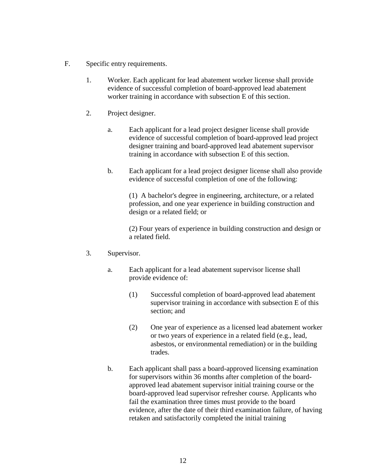- F. Specific entry requirements.
	- 1. Worker. Each applicant for lead abatement worker license shall provide evidence of successful completion of board-approved lead abatement worker training in accordance with subsection E of this section.
	- 2. Project designer.
		- a. Each applicant for a lead project designer license shall provide evidence of successful completion of board-approved lead project designer training and board-approved lead abatement supervisor training in accordance with subsection E of this section.
		- b. Each applicant for a lead project designer license shall also provide evidence of successful completion of one of the following:

(1) A bachelor's degree in engineering, architecture, or a related profession, and one year experience in building construction and design or a related field; or

(2) Four years of experience in building construction and design or a related field.

## 3. Supervisor.

- a. Each applicant for a lead abatement supervisor license shall provide evidence of:
	- (1) Successful completion of board-approved lead abatement supervisor training in accordance with subsection E of this section; and
	- (2) One year of experience as a licensed lead abatement worker or two years of experience in a related field (e.g., lead, asbestos, or environmental remediation) or in the building trades.
- b. Each applicant shall pass a board-approved licensing examination for supervisors within 36 months after completion of the boardapproved lead abatement supervisor initial training course or the board-approved lead supervisor refresher course. Applicants who fail the examination three times must provide to the board evidence, after the date of their third examination failure, of having retaken and satisfactorily completed the initial training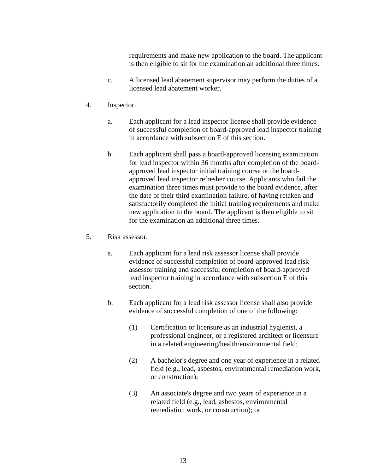requirements and make new application to the board. The applicant is then eligible to sit for the examination an additional three times.

- c. A licensed lead abatement supervisor may perform the duties of a licensed lead abatement worker.
- 4. Inspector.
	- a. Each applicant for a lead inspector license shall provide evidence of successful completion of board-approved lead inspector training in accordance with subsection E of this section.
	- b. Each applicant shall pass a board-approved licensing examination for lead inspector within 36 months after completion of the boardapproved lead inspector initial training course or the boardapproved lead inspector refresher course. Applicants who fail the examination three times must provide to the board evidence, after the date of their third examination failure, of having retaken and satisfactorily completed the initial training requirements and make new application to the board. The applicant is then eligible to sit for the examination an additional three times.
- 5. Risk assessor.
	- a. Each applicant for a lead risk assessor license shall provide evidence of successful completion of board-approved lead risk assessor training and successful completion of board-approved lead inspector training in accordance with subsection E of this section.
	- b. Each applicant for a lead risk assessor license shall also provide evidence of successful completion of one of the following:
		- (1) Certification or licensure as an industrial hygienist, a professional engineer, or a registered architect or licensure in a related engineering/health/environmental field;
		- (2) A bachelor's degree and one year of experience in a related field (e.g., lead, asbestos, environmental remediation work, or construction);
		- (3) An associate's degree and two years of experience in a related field (e.g., lead, asbestos, environmental remediation work, or construction); or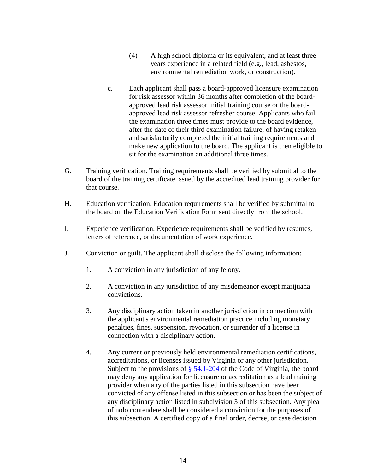- (4) A high school diploma or its equivalent, and at least three years experience in a related field (e.g., lead, asbestos, environmental remediation work, or construction).
- c. Each applicant shall pass a board-approved licensure examination for risk assessor within 36 months after completion of the boardapproved lead risk assessor initial training course or the boardapproved lead risk assessor refresher course. Applicants who fail the examination three times must provide to the board evidence, after the date of their third examination failure, of having retaken and satisfactorily completed the initial training requirements and make new application to the board. The applicant is then eligible to sit for the examination an additional three times.
- G. Training verification. Training requirements shall be verified by submittal to the board of the training certificate issued by the accredited lead training provider for that course.
- H. Education verification. Education requirements shall be verified by submittal to the board on the Education Verification Form sent directly from the school.
- I. Experience verification. Experience requirements shall be verified by resumes, letters of reference, or documentation of work experience.
- J. Conviction or guilt. The applicant shall disclose the following information:
	- 1. A conviction in any jurisdiction of any felony.
	- 2. A conviction in any jurisdiction of any misdemeanor except marijuana convictions.
	- 3. Any disciplinary action taken in another jurisdiction in connection with the applicant's environmental remediation practice including monetary penalties, fines, suspension, revocation, or surrender of a license in connection with a disciplinary action.
	- 4. Any current or previously held environmental remediation certifications, accreditations, or licenses issued by Virginia or any other jurisdiction. Subject to the provisions of [§ 54.1-204](https://law.lis.virginia.gov/vacode/title54.1/chapter2/section54.1-204/) of the Code of Virginia, the board may deny any application for licensure or accreditation as a lead training provider when any of the parties listed in this subsection have been convicted of any offense listed in this subsection or has been the subject of any disciplinary action listed in subdivision 3 of this subsection. Any plea of nolo contendere shall be considered a conviction for the purposes of this subsection. A certified copy of a final order, decree, or case decision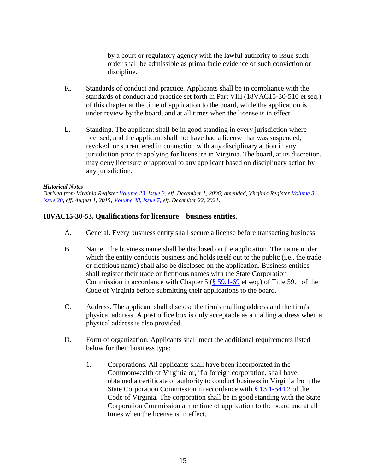by a court or regulatory agency with the lawful authority to issue such order shall be admissible as prima facie evidence of such conviction or discipline.

- K. Standards of conduct and practice. Applicants shall be in compliance with the standards of conduct and practice set forth in Part VIII (18VAC15-30-510 et seq.) of this chapter at the time of application to the board, while the application is under review by the board, and at all times when the license is in effect.
- L. Standing. The applicant shall be in good standing in every jurisdiction where licensed, and the applicant shall not have had a license that was suspended, revoked, or surrendered in connection with any disciplinary action in any jurisdiction prior to applying for licensure in Virginia. The board, at its discretion, may deny licensure or approval to any applicant based on disciplinary action by any jurisdiction.

#### *Historical Notes*

*Derived from Virginia Register [Volume 23, Issue 3,](http://register.dls.virginia.gov/vol23/iss03/v23i03.pdf) eff. December 1, 2006; amended, Virginia Register [Volume 31,](http://register.dls.virginia.gov/toc.aspx?voliss=31:20)  [Issue 20,](http://register.dls.virginia.gov/toc.aspx?voliss=31:20) eff. August 1, 2015; [Volume 38, Issue 7,](http://register.dls.virginia.gov/toc.aspx?voliss=38:07) eff. December 22, 2021.* 

## **18VAC15-30-53. Qualifications for licensure—business entities.**

- A. General. Every business entity shall secure a license before transacting business.
- B. Name. The business name shall be disclosed on the application. The name under which the entity conducts business and holds itself out to the public (i.e., the trade or fictitious name) shall also be disclosed on the application. Business entities shall register their trade or fictitious names with the State Corporation Commission in accordance with Chapter 5 ( $\S$  [59.1-69](https://law.lis.virginia.gov/vacode/title59.1/chapter5/section59.1-69/) et seq.) of Title 59.1 of the Code of Virginia before submitting their applications to the board.
- C. Address. The applicant shall disclose the firm's mailing address and the firm's physical address. A post office box is only acceptable as a mailing address when a physical address is also provided.
- D. Form of organization. Applicants shall meet the additional requirements listed below for their business type:
	- 1. Corporations. All applicants shall have been incorporated in the Commonwealth of Virginia or, if a foreign corporation, shall have obtained a certificate of authority to conduct business in Virginia from the State Corporation Commission in accordance with [§ 13.1-544.2](https://law.lis.virginia.gov/vacode/title13.1/chapter7/section13.1-544.2/) of the Code of Virginia. The corporation shall be in good standing with the State Corporation Commission at the time of application to the board and at all times when the license is in effect.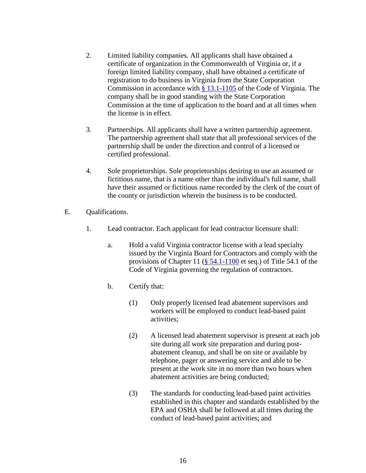- 2. Limited liability companies. All applicants shall have obtained a certificate of organization in the Commonwealth of Virginia or, if a foreign limited liability company, shall have obtained a certificate of registration to do business in Virginia from the State Corporation Commission in accordance with [§ 13.1-1105](https://law.lis.virginia.gov/vacode/title13.1/chapter13/section13.1-1105/) of the Code of Virginia. The company shall be in good standing with the State Corporation Commission at the time of application to the board and at all times when the license is in effect.
- 3. Partnerships. All applicants shall have a written partnership agreement. The partnership agreement shall state that all professional services of the partnership shall be under the direction and control of a licensed or certified professional.
- 4. Sole proprietorships. Sole proprietorships desiring to use an assumed or fictitious name, that is a name other than the individual's full name, shall have their assumed or fictitious name recorded by the clerk of the court of the county or jurisdiction wherein the business is to be conducted.
- E. Qualifications.
	- 1. Lead contractor. Each applicant for lead contractor licensure shall:
		- a. Hold a valid Virginia contractor license with a lead specialty issued by the Virginia Board for Contractors and comply with the provisions of Chapter 11  $(\frac{8}{3} 54.1 - 1100)$  et seq.) of Title 54.1 of the Code of Virginia governing the regulation of contractors.
		- b. Certify that:
			- (1) Only properly licensed lead abatement supervisors and workers will be employed to conduct lead-based paint activities;
			- (2) A licensed lead abatement supervisor is present at each job site during all work site preparation and during postabatement cleanup, and shall be on site or available by telephone, pager or answering service and able to be present at the work site in no more than two hours when abatement activities are being conducted;
			- (3) The standards for conducting lead-based paint activities established in this chapter and standards established by the EPA and OSHA shall be followed at all times during the conduct of lead-based paint activities; and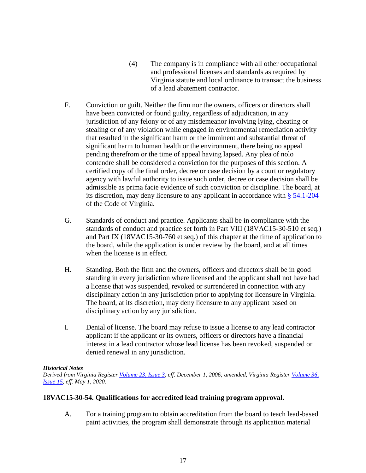- (4) The company is in compliance with all other occupational and professional licenses and standards as required by Virginia statute and local ordinance to transact the business of a lead abatement contractor.
- F. Conviction or guilt. Neither the firm nor the owners, officers or directors shall have been convicted or found guilty, regardless of adjudication, in any jurisdiction of any felony or of any misdemeanor involving lying, cheating or stealing or of any violation while engaged in environmental remediation activity that resulted in the significant harm or the imminent and substantial threat of significant harm to human health or the environment, there being no appeal pending therefrom or the time of appeal having lapsed. Any plea of nolo contendre shall be considered a conviction for the purposes of this section. A certified copy of the final order, decree or case decision by a court or regulatory agency with lawful authority to issue such order, decree or case decision shall be admissible as prima facie evidence of such conviction or discipline. The board, at its discretion, may deny licensure to any applicant in accordance with [§ 54.1-204](https://law.lis.virginia.gov/vacode/title54.1/chapter2/section54.1-204/) of the Code of Virginia.
- G. Standards of conduct and practice. Applicants shall be in compliance with the standards of conduct and practice set forth in Part VIII (18VAC15-30-510 et seq.) and Part IX (18VAC15-30-760 et seq.) of this chapter at the time of application to the board, while the application is under review by the board, and at all times when the license is in effect.
- H. Standing. Both the firm and the owners, officers and directors shall be in good standing in every jurisdiction where licensed and the applicant shall not have had a license that was suspended, revoked or surrendered in connection with any disciplinary action in any jurisdiction prior to applying for licensure in Virginia. The board, at its discretion, may deny licensure to any applicant based on disciplinary action by any jurisdiction.
- I. Denial of license. The board may refuse to issue a license to any lead contractor applicant if the applicant or its owners, officers or directors have a financial interest in a lead contractor whose lead license has been revoked, suspended or denied renewal in any jurisdiction.

## *Historical Notes*

*Derived from Virginia Register [Volume 23, Issue 3,](http://register.dls.virginia.gov/vol23/iss03/v23i03.pdf) eff. December 1, 2006; amended, Virginia Register [Volume 36,](http://register.dls.virginia.gov/toc.aspx?voliss=36:15)  [Issue 15,](http://register.dls.virginia.gov/toc.aspx?voliss=36:15) eff. May 1, 2020.* 

## **18VAC15-30-54. Qualifications for accredited lead training program approval.**

A. For a training program to obtain accreditation from the board to teach lead-based paint activities, the program shall demonstrate through its application material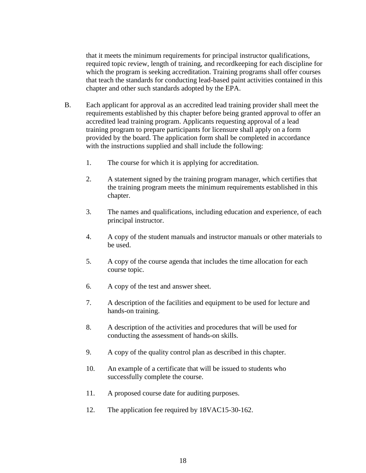that it meets the minimum requirements for principal instructor qualifications, required topic review, length of training, and recordkeeping for each discipline for which the program is seeking accreditation. Training programs shall offer courses that teach the standards for conducting lead-based paint activities contained in this chapter and other such standards adopted by the EPA.

- B. Each applicant for approval as an accredited lead training provider shall meet the requirements established by this chapter before being granted approval to offer an accredited lead training program. Applicants requesting approval of a lead training program to prepare participants for licensure shall apply on a form provided by the board. The application form shall be completed in accordance with the instructions supplied and shall include the following:
	- 1. The course for which it is applying for accreditation.
	- 2. A statement signed by the training program manager, which certifies that the training program meets the minimum requirements established in this chapter.
	- 3. The names and qualifications, including education and experience, of each principal instructor.
	- 4. A copy of the student manuals and instructor manuals or other materials to be used.
	- 5. A copy of the course agenda that includes the time allocation for each course topic.
	- 6. A copy of the test and answer sheet.
	- 7. A description of the facilities and equipment to be used for lecture and hands-on training.
	- 8. A description of the activities and procedures that will be used for conducting the assessment of hands-on skills.
	- 9. A copy of the quality control plan as described in this chapter.
	- 10. An example of a certificate that will be issued to students who successfully complete the course.
	- 11. A proposed course date for auditing purposes.
	- 12. The application fee required by 18VAC15-30-162.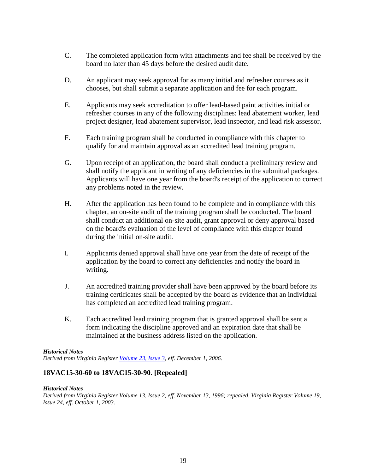- C. The completed application form with attachments and fee shall be received by the board no later than 45 days before the desired audit date.
- D. An applicant may seek approval for as many initial and refresher courses as it chooses, but shall submit a separate application and fee for each program.
- E. Applicants may seek accreditation to offer lead-based paint activities initial or refresher courses in any of the following disciplines: lead abatement worker, lead project designer, lead abatement supervisor, lead inspector, and lead risk assessor.
- F. Each training program shall be conducted in compliance with this chapter to qualify for and maintain approval as an accredited lead training program.
- G. Upon receipt of an application, the board shall conduct a preliminary review and shall notify the applicant in writing of any deficiencies in the submittal packages. Applicants will have one year from the board's receipt of the application to correct any problems noted in the review.
- H. After the application has been found to be complete and in compliance with this chapter, an on-site audit of the training program shall be conducted. The board shall conduct an additional on-site audit, grant approval or deny approval based on the board's evaluation of the level of compliance with this chapter found during the initial on-site audit.
- I. Applicants denied approval shall have one year from the date of receipt of the application by the board to correct any deficiencies and notify the board in writing.
- J. An accredited training provider shall have been approved by the board before its training certificates shall be accepted by the board as evidence that an individual has completed an accredited lead training program.
- K. Each accredited lead training program that is granted approval shall be sent a form indicating the discipline approved and an expiration date that shall be maintained at the business address listed on the application.

## *Historical Notes*

*Derived from Virginia Register [Volume 23, Issue 3,](http://register.dls.virginia.gov/vol23/iss03/v23i03.pdf) eff. December 1, 2006.* 

## **18VAC15-30-60 to 18VAC15-30-90. [Repealed]**

#### *Historical Notes*

*Derived from Virginia Register Volume 13, Issue 2, eff. November 13, 1996; repealed, Virginia Register Volume 19, Issue 24, eff. October 1, 2003.*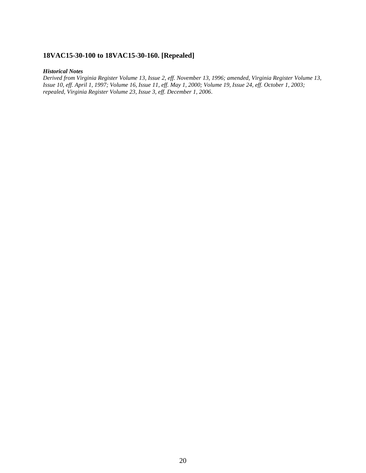## **18VAC15-30-100 to 18VAC15-30-160. [Repealed]**

#### *Historical Notes*

*Derived from Virginia Register Volume 13, Issue 2, eff. November 13, 1996; amended, Virginia Register Volume 13, Issue 10, eff. April 1, 1997; Volume 16, Issue 11, eff. May 1, 2000; Volume 19, Issue 24, eff. October 1, 2003; repealed, Virginia Register Volume 23, Issue 3, eff. December 1, 2006.*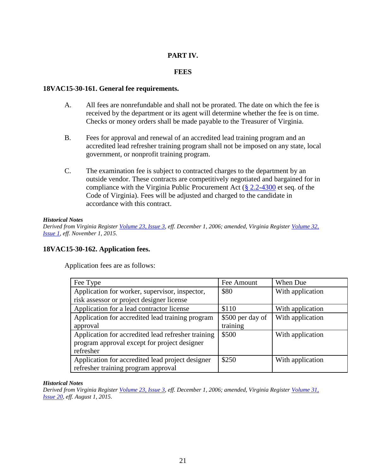## **PART IV.**

## **FEES**

## **18VAC15-30-161. General fee requirements.**

- A. All fees are nonrefundable and shall not be prorated. The date on which the fee is received by the department or its agent will determine whether the fee is on time. Checks or money orders shall be made payable to the Treasurer of Virginia.
- B. Fees for approval and renewal of an accredited lead training program and an accredited lead refresher training program shall not be imposed on any state, local government, or nonprofit training program.
- C. The examination fee is subject to contracted charges to the department by an outside vendor. These contracts are competitively negotiated and bargained for in compliance with the Virginia Public Procurement Act [\(§ 2.2-4300](https://law.lis.virginia.gov/vacode/title2.2/chapter43/section2.2-4300/) et seq. of the Code of Virginia). Fees will be adjusted and charged to the candidate in accordance with this contract.

#### *Historical Notes*

*Derived from Virginia Register [Volume 23, Issue 3,](http://register.dls.virginia.gov/vol23/iss03/v23i03.pdf) eff. December 1, 2006; amended, Virginia Register [Volume 32,](http://register.dls.virginia.gov/toc.aspx?voliss=32:01)  [Issue 1,](http://register.dls.virginia.gov/toc.aspx?voliss=32:01) eff. November 1, 2015.* 

## **18VAC15-30-162. Application fees.**

Application fees are as follows:

| Fee Type                                           | Fee Amount       | When Due         |
|----------------------------------------------------|------------------|------------------|
| Application for worker, supervisor, inspector,     | \$80             | With application |
| risk assessor or project designer license          |                  |                  |
| Application for a lead contractor license          | \$110            | With application |
| Application for accredited lead training program   | \$500 per day of | With application |
| approval                                           | training         |                  |
| Application for accredited lead refresher training | \$500            | With application |
| program approval except for project designer       |                  |                  |
| refresher                                          |                  |                  |
| Application for accredited lead project designer   | \$250            | With application |
| refresher training program approval                |                  |                  |

## *Historical Notes*

*Derived from Virginia Register [Volume 23, Issue 3,](http://register.dls.virginia.gov/vol23/iss03/v23i03.pdf) eff. December 1, 2006; amended, Virginia Register [Volume 31,](http://register.dls.virginia.gov/toc.aspx?voliss=31:20)  [Issue 20,](http://register.dls.virginia.gov/toc.aspx?voliss=31:20) eff. August 1, 2015.*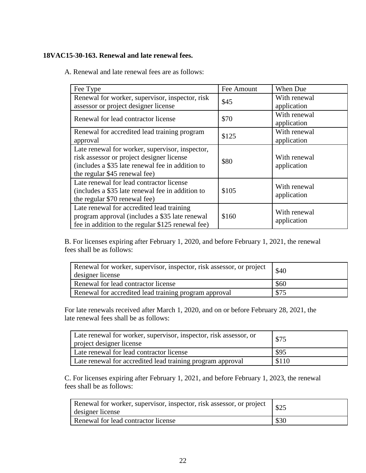## **18VAC15-30-163. Renewal and late renewal fees.**

A. Renewal and late renewal fees are as follows:

| Fee Type                                          | Fee Amount | When Due     |
|---------------------------------------------------|------------|--------------|
| Renewal for worker, supervisor, inspector, risk   | \$45       | With renewal |
| assessor or project designer license              |            | application  |
| Renewal for lead contractor license               | \$70       | With renewal |
|                                                   |            | application  |
| Renewal for accredited lead training program      | \$125      | With renewal |
| approval                                          |            | application  |
| Late renewal for worker, supervisor, inspector,   |            |              |
| risk assessor or project designer license         | \$80       | With renewal |
| (includes a \$35 late renewal fee in addition to  |            | application  |
| the regular \$45 renewal fee)                     |            |              |
| Late renewal for lead contractor license          |            | With renewal |
| (includes a \$35 late renewal fee in addition to  | \$105      | application  |
| the regular \$70 renewal fee)                     |            |              |
| Late renewal for accredited lead training         |            | With renewal |
| program approval (includes a \$35 late renewal    | \$160      | application  |
| fee in addition to the regular \$125 renewal fee) |            |              |

B. For licenses expiring after February 1, 2020, and before February 1, 2021, the renewal fees shall be as follows:

| Renewal for worker, supervisor, inspector, risk assessor, or project<br>designer license | \$40 |
|------------------------------------------------------------------------------------------|------|
| Renewal for lead contractor license                                                      | \$60 |
| Renewal for accredited lead training program approval                                    | \$75 |

For late renewals received after March 1, 2020, and on or before February 28, 2021, the late renewal fees shall be as follows:

| Late renewal for worker, supervisor, inspector, risk assessor, or<br>project designer license | \$75  |
|-----------------------------------------------------------------------------------------------|-------|
| Late renewal for lead contractor license                                                      | \$95  |
| Late renewal for accredited lead training program approval                                    | \$110 |

C. For licenses expiring after February 1, 2021, and before February 1, 2023, the renewal fees shall be as follows:

| Renewal for worker, supervisor, inspector, risk assessor, or project<br>designer license | \$25 |
|------------------------------------------------------------------------------------------|------|
| Renewal for lead contractor license                                                      | \$30 |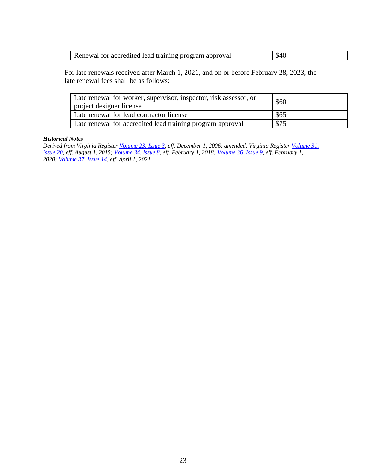Renewal for accredited lead training program approval | \$40

For late renewals received after March 1, 2021, and on or before February 28, 2023, the late renewal fees shall be as follows:

| Late renewal for worker, supervisor, inspector, risk assessor, or<br>project designer license | \$60 |
|-----------------------------------------------------------------------------------------------|------|
| Late renewal for lead contractor license                                                      | \$65 |
| Late renewal for accredited lead training program approval                                    | \$75 |

#### *Historical Notes*

*Derived from Virginia Register [Volume 23, Issue 3,](http://register.dls.virginia.gov/vol23/iss03/v23i03.pdf) eff. December 1, 2006; amended, Virginia Register [Volume 31,](http://register.dls.virginia.gov/toc.aspx?voliss=31:20)  [Issue 20,](http://register.dls.virginia.gov/toc.aspx?voliss=31:20) eff. August 1, 2015; [Volume 34, Issue 8,](http://register.dls.virginia.gov/toc.aspx?voliss=34:08) eff. February 1, 2018; [Volume 36, Issue 9,](http://register.dls.virginia.gov/toc.aspx?voliss=36:09) eff. February 1, 2020; [Volume 37, Issue 14,](http://register.dls.virginia.gov/toc.aspx?voliss=37:14) eff. April 1, 2021.*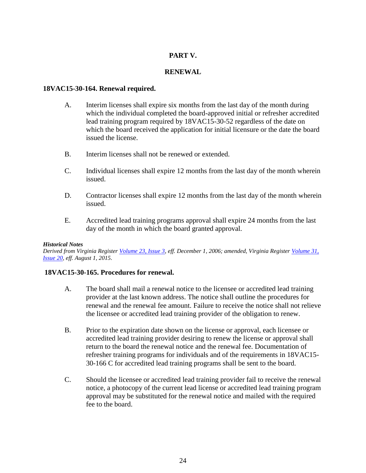## **PART V.**

## **RENEWAL**

## **18VAC15-30-164. Renewal required.**

- A. Interim licenses shall expire six months from the last day of the month during which the individual completed the board-approved initial or refresher accredited lead training program required by 18VAC15-30-52 regardless of the date on which the board received the application for initial licensure or the date the board issued the license.
- B. Interim licenses shall not be renewed or extended.
- C. Individual licenses shall expire 12 months from the last day of the month wherein issued.
- D. Contractor licenses shall expire 12 months from the last day of the month wherein issued.
- E. Accredited lead training programs approval shall expire 24 months from the last day of the month in which the board granted approval.

## *Historical Notes*

*Derived from Virginia Register [Volume 23, Issue 3,](http://register.dls.virginia.gov/vol23/iss03/v23i03.pdf) eff. December 1, 2006; amended, Virginia Register [Volume 31,](http://register.dls.virginia.gov/toc.aspx?voliss=31:20)  [Issue 20,](http://register.dls.virginia.gov/toc.aspx?voliss=31:20) eff. August 1, 2015.*

## **18VAC15-30-165. Procedures for renewal.**

- A. The board shall mail a renewal notice to the licensee or accredited lead training provider at the last known address. The notice shall outline the procedures for renewal and the renewal fee amount. Failure to receive the notice shall not relieve the licensee or accredited lead training provider of the obligation to renew.
- B. Prior to the expiration date shown on the license or approval, each licensee or accredited lead training provider desiring to renew the license or approval shall return to the board the renewal notice and the renewal fee. Documentation of refresher training programs for individuals and of the requirements in 18VAC15- 30-166 C for accredited lead training programs shall be sent to the board.
- C. Should the licensee or accredited lead training provider fail to receive the renewal notice, a photocopy of the current lead license or accredited lead training program approval may be substituted for the renewal notice and mailed with the required fee to the board.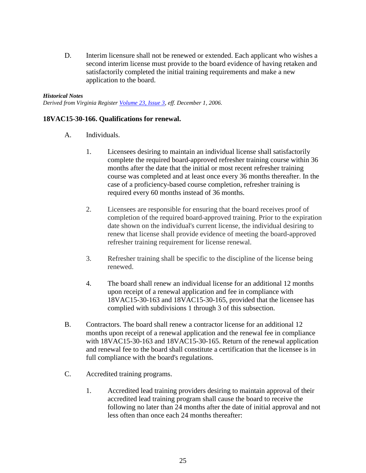D. Interim licensure shall not be renewed or extended. Each applicant who wishes a second interim license must provide to the board evidence of having retaken and satisfactorily completed the initial training requirements and make a new application to the board.

#### *Historical Notes*

*Derived from Virginia Register [Volume 23, Issue 3,](http://register.dls.virginia.gov/vol23/iss03/v23i03.pdf) eff. December 1, 2006.*

## **18VAC15-30-166. Qualifications for renewal.**

- A. Individuals.
	- 1. Licensees desiring to maintain an individual license shall satisfactorily complete the required board-approved refresher training course within 36 months after the date that the initial or most recent refresher training course was completed and at least once every 36 months thereafter. In the case of a proficiency-based course completion, refresher training is required every 60 months instead of 36 months.
	- 2. Licensees are responsible for ensuring that the board receives proof of completion of the required board-approved training. Prior to the expiration date shown on the individual's current license, the individual desiring to renew that license shall provide evidence of meeting the board-approved refresher training requirement for license renewal.
	- 3. Refresher training shall be specific to the discipline of the license being renewed.
	- 4. The board shall renew an individual license for an additional 12 months upon receipt of a renewal application and fee in compliance with 18VAC15-30-163 and 18VAC15-30-165, provided that the licensee has complied with subdivisions 1 through 3 of this subsection.
- B. Contractors. The board shall renew a contractor license for an additional 12 months upon receipt of a renewal application and the renewal fee in compliance with 18VAC15-30-163 and 18VAC15-30-165. Return of the renewal application and renewal fee to the board shall constitute a certification that the licensee is in full compliance with the board's regulations.
- C. Accredited training programs.
	- 1. Accredited lead training providers desiring to maintain approval of their accredited lead training program shall cause the board to receive the following no later than 24 months after the date of initial approval and not less often than once each 24 months thereafter: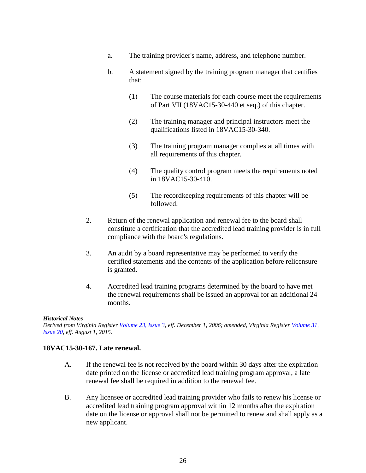- a. The training provider's name, address, and telephone number.
- b. A statement signed by the training program manager that certifies that:
	- (1) The course materials for each course meet the requirements of Part VII (18VAC15-30-440 et seq.) of this chapter.
	- (2) The training manager and principal instructors meet the qualifications listed in 18VAC15-30-340.
	- (3) The training program manager complies at all times with all requirements of this chapter.
	- (4) The quality control program meets the requirements noted in 18VAC15-30-410.
	- (5) The recordkeeping requirements of this chapter will be followed.
- 2. Return of the renewal application and renewal fee to the board shall constitute a certification that the accredited lead training provider is in full compliance with the board's regulations.
- 3. An audit by a board representative may be performed to verify the certified statements and the contents of the application before relicensure is granted.
- 4. Accredited lead training programs determined by the board to have met the renewal requirements shall be issued an approval for an additional 24 months.

## *Historical Notes*

*Derived from Virginia Register [Volume 23, Issue 3,](http://register.dls.virginia.gov/vol23/iss03/v23i03.pdf) eff. December 1, 2006; amended, Virginia Register [Volume 31,](http://register.dls.virginia.gov/toc.aspx?voliss=31:20)  [Issue 20,](http://register.dls.virginia.gov/toc.aspx?voliss=31:20) eff. August 1, 2015.*

## **18VAC15-30-167. Late renewal.**

- A. If the renewal fee is not received by the board within 30 days after the expiration date printed on the license or accredited lead training program approval, a late renewal fee shall be required in addition to the renewal fee.
- B. Any licensee or accredited lead training provider who fails to renew his license or accredited lead training program approval within 12 months after the expiration date on the license or approval shall not be permitted to renew and shall apply as a new applicant.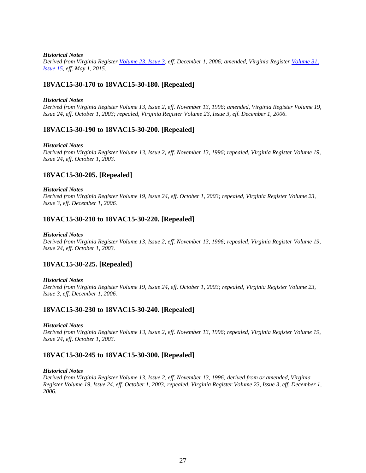#### *Historical Notes*

*Derived from Virginia Register [Volume 23, Issue 3,](http://register.dls.virginia.gov/vol23/iss03/v23i03.pdf) eff. December 1, 2006; amended, Virginia Register [Volume 31,](http://register.dls.virginia.gov/toc.aspx?voliss=31:15)  [Issue 15,](http://register.dls.virginia.gov/toc.aspx?voliss=31:15) eff. May 1, 2015.*

## **18VAC15-30-170 to 18VAC15-30-180. [Repealed]**

#### *Historical Notes*

*Derived from Virginia Register Volume 13, Issue 2, eff. November 13, 1996; amended, Virginia Register Volume 19, Issue 24, eff. October 1, 2003; repealed, Virginia Register Volume 23, Issue 3, eff. December 1, 2006.* 

## **18VAC15-30-190 to 18VAC15-30-200. [Repealed]**

#### *Historical Notes*

*Derived from Virginia Register Volume 13, Issue 2, eff. November 13, 1996; repealed, Virginia Register Volume 19, Issue 24, eff. October 1, 2003.* 

## **18VAC15-30-205. [Repealed]**

#### *Historical Notes*

*Derived from Virginia Register Volume 19, Issue 24, eff. October 1, 2003; repealed, Virginia Register Volume 23, Issue 3, eff. December 1, 2006.* 

#### **18VAC15-30-210 to 18VAC15-30-220. [Repealed]**

#### *Historical Notes*

*Derived from Virginia Register Volume 13, Issue 2, eff. November 13, 1996; repealed, Virginia Register Volume 19, Issue 24, eff. October 1, 2003.* 

## **18VAC15-30-225. [Repealed]**

#### *Historical Notes*

*Derived from Virginia Register Volume 19, Issue 24, eff. October 1, 2003; repealed, Virginia Register Volume 23, Issue 3, eff. December 1, 2006.* 

#### **18VAC15-30-230 to 18VAC15-30-240. [Repealed]**

#### *Historical Notes*

*Derived from Virginia Register Volume 13, Issue 2, eff. November 13, 1996; repealed, Virginia Register Volume 19, Issue 24, eff. October 1, 2003.* 

## **18VAC15-30-245 to 18VAC15-30-300. [Repealed]**

#### *Historical Notes*

*Derived from Virginia Register Volume 13, Issue 2, eff. November 13, 1996; derived from or amended, Virginia Register Volume 19, Issue 24, eff. October 1, 2003; repealed, Virginia Register Volume 23, Issue 3, eff. December 1, 2006.*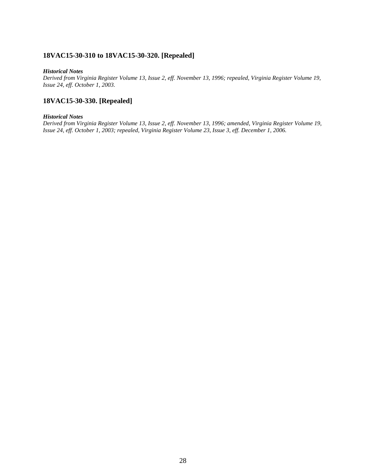## **18VAC15-30-310 to 18VAC15-30-320. [Repealed]**

#### *Historical Notes*

*Derived from Virginia Register Volume 13, Issue 2, eff. November 13, 1996; repealed, Virginia Register Volume 19, Issue 24, eff. October 1, 2003.* 

## **18VAC15-30-330. [Repealed]**

#### *Historical Notes*

*Derived from Virginia Register Volume 13, Issue 2, eff. November 13, 1996; amended, Virginia Register Volume 19, Issue 24, eff. October 1, 2003; repealed, Virginia Register Volume 23, Issue 3, eff. December 1, 2006.*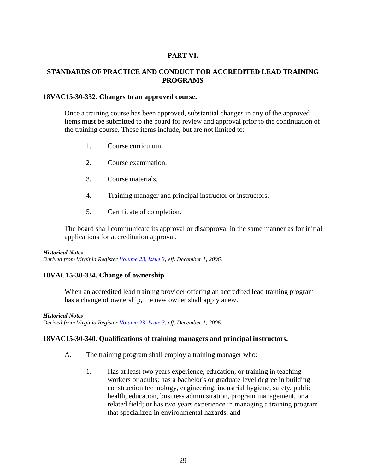## **PART VI.**

## **STANDARDS OF PRACTICE AND CONDUCT FOR ACCREDITED LEAD TRAINING PROGRAMS**

## **18VAC15-30-332. Changes to an approved course.**

Once a training course has been approved, substantial changes in any of the approved items must be submitted to the board for review and approval prior to the continuation of the training course. These items include, but are not limited to:

- 1. Course curriculum.
- 2. Course examination.
- 3. Course materials.
- 4. Training manager and principal instructor or instructors.
- 5. Certificate of completion.

The board shall communicate its approval or disapproval in the same manner as for initial applications for accreditation approval.

## *Historical Notes*

*Derived from Virginia Register [Volume 23, Issue 3,](http://register.dls.virginia.gov/vol23/iss03/v23i03.pdf) eff. December 1, 2006.* 

## **18VAC15-30-334. Change of ownership.**

When an accredited lead training provider offering an accredited lead training program has a change of ownership, the new owner shall apply anew.

## *Historical Notes*

*Derived from Virginia Register [Volume 23, Issue 3,](http://register.dls.virginia.gov/vol23/iss03/v23i03.pdf) eff. December 1, 2006.* 

## **18VAC15-30-340. Qualifications of training managers and principal instructors.**

- A. The training program shall employ a training manager who:
	- 1. Has at least two years experience, education, or training in teaching workers or adults; has a bachelor's or graduate level degree in building construction technology, engineering, industrial hygiene, safety, public health, education, business administration, program management, or a related field; or has two years experience in managing a training program that specialized in environmental hazards; and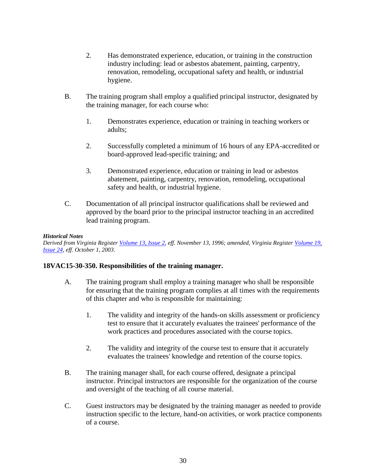- 2. Has demonstrated experience, education, or training in the construction industry including: lead or asbestos abatement, painting, carpentry, renovation, remodeling, occupational safety and health, or industrial hygiene.
- B. The training program shall employ a qualified principal instructor, designated by the training manager, for each course who:
	- 1. Demonstrates experience, education or training in teaching workers or adults;
	- 2. Successfully completed a minimum of 16 hours of any EPA-accredited or board-approved lead-specific training; and
	- 3. Demonstrated experience, education or training in lead or asbestos abatement, painting, carpentry, renovation, remodeling, occupational safety and health, or industrial hygiene.
- C. Documentation of all principal instructor qualifications shall be reviewed and approved by the board prior to the principal instructor teaching in an accredited lead training program.

*Derived from Virginia Register [Volume 13, Issue](http://register.dls.virginia.gov/vol13/iss02/v13i02.pdf) 2, eff. November 13, 1996; amended, Virginia Register [Volume 19,](http://register.dls.virginia.gov/vol19/iss24/v19i24.pdf)  [Issue 24,](http://register.dls.virginia.gov/vol19/iss24/v19i24.pdf) eff. October 1, 2003.* 

## **18VAC15-30-350. Responsibilities of the training manager.**

- A. The training program shall employ a training manager who shall be responsible for ensuring that the training program complies at all times with the requirements of this chapter and who is responsible for maintaining:
	- 1. The validity and integrity of the hands-on skills assessment or proficiency test to ensure that it accurately evaluates the trainees' performance of the work practices and procedures associated with the course topics.
	- 2. The validity and integrity of the course test to ensure that it accurately evaluates the trainees' knowledge and retention of the course topics.
- B. The training manager shall, for each course offered, designate a principal instructor. Principal instructors are responsible for the organization of the course and oversight of the teaching of all course material.
- C. Guest instructors may be designated by the training manager as needed to provide instruction specific to the lecture, hand-on activities, or work practice components of a course.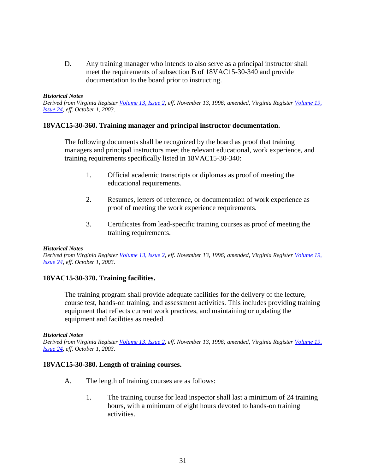D. Any training manager who intends to also serve as a principal instructor shall meet the requirements of subsection B of 18VAC15-30-340 and provide documentation to the board prior to instructing.

#### *Historical Notes*

*Derived from Virginia Register [Volume 13, Issue 2,](http://register.dls.virginia.gov/vol13/iss02/v13i02.pdf) eff. November 13, 1996; amended, Virginia Register [Volume 19,](http://register.dls.virginia.gov/vol19/iss24/v19i24.pdf)  [Issue 24,](http://register.dls.virginia.gov/vol19/iss24/v19i24.pdf) eff. October 1, 2003.* 

## **18VAC15-30-360. Training manager and principal instructor documentation.**

The following documents shall be recognized by the board as proof that training managers and principal instructors meet the relevant educational, work experience, and training requirements specifically listed in 18VAC15-30-340:

- 1. Official academic transcripts or diplomas as proof of meeting the educational requirements.
- 2. Resumes, letters of reference, or documentation of work experience as proof of meeting the work experience requirements.
- 3. Certificates from lead-specific training courses as proof of meeting the training requirements.

#### *Historical Notes*

*Derived from Virginia Register [Volume 13, Issue 2,](http://register.dls.virginia.gov/vol13/iss02/v13i02.pdf) eff. November 13, 1996; amended, Virginia Register [Volume 19,](http://register.dls.virginia.gov/vol19/iss24/v19i24.pdf)  [Issue 24,](http://register.dls.virginia.gov/vol19/iss24/v19i24.pdf) eff. October 1, 2003.* 

## **18VAC15-30-370. Training facilities.**

The training program shall provide adequate facilities for the delivery of the lecture, course test, hands-on training, and assessment activities. This includes providing training equipment that reflects current work practices, and maintaining or updating the equipment and facilities as needed.

#### *Historical Notes*

*Derived from Virginia Register [Volume 13, Issue 2,](http://register.dls.virginia.gov/vol13/iss02/v13i02.pdf) eff. November 13, 1996; amended, Virginia Register [Volume 19,](http://register.dls.virginia.gov/vol19/iss24/v19i24.pdf)  [Issue 24,](http://register.dls.virginia.gov/vol19/iss24/v19i24.pdf) eff. October 1, 2003.* 

## **18VAC15-30-380. Length of training courses.**

- A. The length of training courses are as follows:
	- 1. The training course for lead inspector shall last a minimum of 24 training hours, with a minimum of eight hours devoted to hands-on training activities.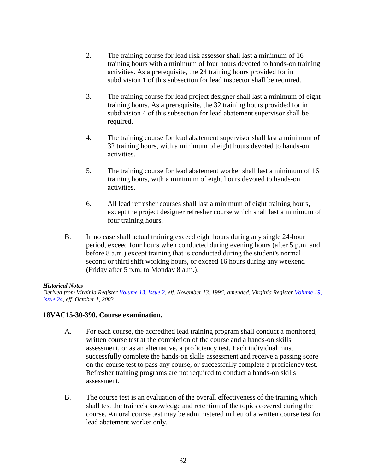- 2. The training course for lead risk assessor shall last a minimum of 16 training hours with a minimum of four hours devoted to hands-on training activities. As a prerequisite, the 24 training hours provided for in subdivision 1 of this subsection for lead inspector shall be required.
- 3. The training course for lead project designer shall last a minimum of eight training hours. As a prerequisite, the 32 training hours provided for in subdivision 4 of this subsection for lead abatement supervisor shall be required.
- 4. The training course for lead abatement supervisor shall last a minimum of 32 training hours, with a minimum of eight hours devoted to hands-on activities.
- 5. The training course for lead abatement worker shall last a minimum of 16 training hours, with a minimum of eight hours devoted to hands-on activities.
- 6. All lead refresher courses shall last a minimum of eight training hours, except the project designer refresher course which shall last a minimum of four training hours.
- B. In no case shall actual training exceed eight hours during any single 24-hour period, exceed four hours when conducted during evening hours (after 5 p.m. and before 8 a.m.) except training that is conducted during the student's normal second or third shift working hours, or exceed 16 hours during any weekend (Friday after 5 p.m. to Monday 8 a.m.).

*Derived from Virginia Register [Volume 13, Issue 2,](http://register.dls.virginia.gov/vol13/iss02/v13i02.pdf) eff. November 13, 1996; amended, Virginia Register [Volume 19,](http://register.dls.virginia.gov/vol19/iss24/v19i24.pdf)  [Issue 24,](http://register.dls.virginia.gov/vol19/iss24/v19i24.pdf) eff. October 1, 2003.* 

## **18VAC15-30-390. Course examination.**

- A. For each course, the accredited lead training program shall conduct a monitored, written course test at the completion of the course and a hands-on skills assessment, or as an alternative, a proficiency test. Each individual must successfully complete the hands-on skills assessment and receive a passing score on the course test to pass any course, or successfully complete a proficiency test. Refresher training programs are not required to conduct a hands-on skills assessment.
- B. The course test is an evaluation of the overall effectiveness of the training which shall test the trainee's knowledge and retention of the topics covered during the course. An oral course test may be administered in lieu of a written course test for lead abatement worker only.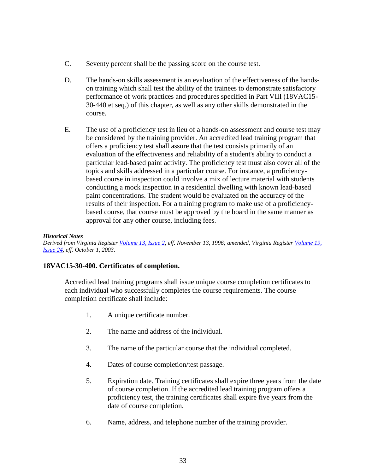- C. Seventy percent shall be the passing score on the course test.
- D. The hands-on skills assessment is an evaluation of the effectiveness of the handson training which shall test the ability of the trainees to demonstrate satisfactory performance of work practices and procedures specified in Part VIII (18VAC15- 30-440 et seq.) of this chapter, as well as any other skills demonstrated in the course.
- E. The use of a proficiency test in lieu of a hands-on assessment and course test may be considered by the training provider. An accredited lead training program that offers a proficiency test shall assure that the test consists primarily of an evaluation of the effectiveness and reliability of a student's ability to conduct a particular lead-based paint activity. The proficiency test must also cover all of the topics and skills addressed in a particular course. For instance, a proficiencybased course in inspection could involve a mix of lecture material with students conducting a mock inspection in a residential dwelling with known lead-based paint concentrations. The student would be evaluated on the accuracy of the results of their inspection. For a training program to make use of a proficiencybased course, that course must be approved by the board in the same manner as approval for any other course, including fees.

*Derived from Virginia Register [Volume 13, Issue 2,](http://register.dls.virginia.gov/vol13/iss02/v13i02.pdf) eff. November 13, 1996; amended, Virginia Register [Volume 19,](http://register.dls.virginia.gov/vol19/iss24/v19i24.pdf)  [Issue 24,](http://register.dls.virginia.gov/vol19/iss24/v19i24.pdf) eff. October 1, 2003.* 

## **18VAC15-30-400. Certificates of completion.**

Accredited lead training programs shall issue unique course completion certificates to each individual who successfully completes the course requirements. The course completion certificate shall include:

- 1. A unique certificate number.
- 2. The name and address of the individual.
- 3. The name of the particular course that the individual completed.
- 4. Dates of course completion/test passage.
- 5. Expiration date. Training certificates shall expire three years from the date of course completion. If the accredited lead training program offers a proficiency test, the training certificates shall expire five years from the date of course completion.
- 6. Name, address, and telephone number of the training provider.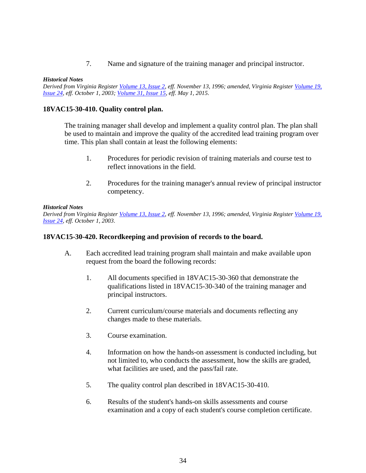7. Name and signature of the training manager and principal instructor.

#### *Historical Notes*

*Derived from Virginia Register [Volume 13, Issue 2,](http://register.dls.virginia.gov/vol13/iss02/v13i02.pdf) eff. November 13, 1996; amended, Virginia Register [Volume 19,](http://register.dls.virginia.gov/vol19/iss24/v19i24.pdf)  [Issue 24,](http://register.dls.virginia.gov/vol19/iss24/v19i24.pdf) eff. October 1, 2003; [Volume 31, Issue 15,](http://register.dls.virginia.gov/toc.aspx?voliss=31:15) eff. May 1, 2015.*

## **18VAC15-30-410. Quality control plan.**

The training manager shall develop and implement a quality control plan. The plan shall be used to maintain and improve the quality of the accredited lead training program over time. This plan shall contain at least the following elements:

- 1. Procedures for periodic revision of training materials and course test to reflect innovations in the field.
- 2. Procedures for the training manager's annual review of principal instructor competency.

#### *Historical Notes*

*Derived from Virginia Register [Volume 13, Issue 2,](http://register.dls.virginia.gov/vol13/iss02/v13i02.pdf) eff. November 13, 1996; amended, Virginia Register [Volume 19,](http://register.dls.virginia.gov/vol19/iss24/v19i24.pdf)  [Issue 24,](http://register.dls.virginia.gov/vol19/iss24/v19i24.pdf) eff. October 1, 2003.* 

## **18VAC15-30-420. Recordkeeping and provision of records to the board.**

- A. Each accredited lead training program shall maintain and make available upon request from the board the following records:
	- 1. All documents specified in 18VAC15-30-360 that demonstrate the qualifications listed in 18VAC15-30-340 of the training manager and principal instructors.
	- 2. Current curriculum/course materials and documents reflecting any changes made to these materials.
	- 3. Course examination.
	- 4. Information on how the hands-on assessment is conducted including, but not limited to, who conducts the assessment, how the skills are graded, what facilities are used, and the pass/fail rate.
	- 5. The quality control plan described in 18VAC15-30-410.
	- 6. Results of the student's hands-on skills assessments and course examination and a copy of each student's course completion certificate.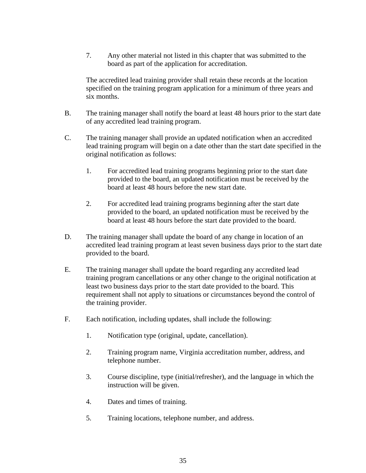7. Any other material not listed in this chapter that was submitted to the board as part of the application for accreditation.

The accredited lead training provider shall retain these records at the location specified on the training program application for a minimum of three years and six months.

- B. The training manager shall notify the board at least 48 hours prior to the start date of any accredited lead training program.
- C. The training manager shall provide an updated notification when an accredited lead training program will begin on a date other than the start date specified in the original notification as follows:
	- 1. For accredited lead training programs beginning prior to the start date provided to the board, an updated notification must be received by the board at least 48 hours before the new start date.
	- 2. For accredited lead training programs beginning after the start date provided to the board, an updated notification must be received by the board at least 48 hours before the start date provided to the board.
- D. The training manager shall update the board of any change in location of an accredited lead training program at least seven business days prior to the start date provided to the board.
- E. The training manager shall update the board regarding any accredited lead training program cancellations or any other change to the original notification at least two business days prior to the start date provided to the board. This requirement shall not apply to situations or circumstances beyond the control of the training provider.
- F. Each notification, including updates, shall include the following:
	- 1. Notification type (original, update, cancellation).
	- 2. Training program name, Virginia accreditation number, address, and telephone number.
	- 3. Course discipline, type (initial/refresher), and the language in which the instruction will be given.
	- 4. Dates and times of training.
	- 5. Training locations, telephone number, and address.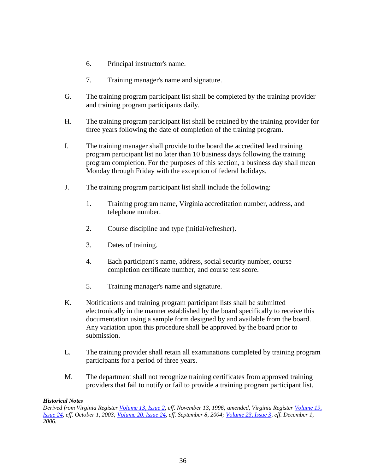- 6. Principal instructor's name.
- 7. Training manager's name and signature.
- G. The training program participant list shall be completed by the training provider and training program participants daily.
- H. The training program participant list shall be retained by the training provider for three years following the date of completion of the training program.
- I. The training manager shall provide to the board the accredited lead training program participant list no later than 10 business days following the training program completion. For the purposes of this section, a business day shall mean Monday through Friday with the exception of federal holidays.
- J. The training program participant list shall include the following:
	- 1. Training program name, Virginia accreditation number, address, and telephone number.
	- 2. Course discipline and type (initial/refresher).
	- 3. Dates of training.
	- 4. Each participant's name, address, social security number, course completion certificate number, and course test score.
	- 5. Training manager's name and signature.
- K. Notifications and training program participant lists shall be submitted electronically in the manner established by the board specifically to receive this documentation using a sample form designed by and available from the board. Any variation upon this procedure shall be approved by the board prior to submission.
- L. The training provider shall retain all examinations completed by training program participants for a period of three years.
- M. The department shall not recognize training certificates from approved training providers that fail to notify or fail to provide a training program participant list.

*Derived from Virginia Register [Volume 13, Issue 2,](http://register.dls.virginia.gov/vol13/iss02/v13i02.pdf) eff. November 13, 1996; amended, Virginia Register [Volume 19,](http://register.dls.virginia.gov/vol19/iss24/v19i24.pdf)  [Issue 24,](http://register.dls.virginia.gov/vol19/iss24/v19i24.pdf) eff. October 1, 2003; [Volume 20, Issue 24,](http://register.dls.virginia.gov/vol20/iss24/v20i24.pdf) eff. September 8, 2004; [Volume 23, Issue 3,](http://register.dls.virginia.gov/vol23/iss03/v23i03.pdf) eff. December 1, 2006.*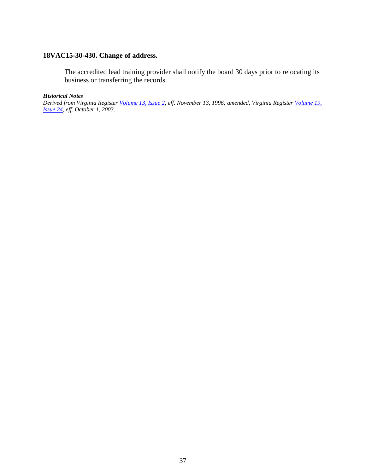## **18VAC15-30-430. Change of address.**

The accredited lead training provider shall notify the board 30 days prior to relocating its business or transferring the records.

## *Historical Notes*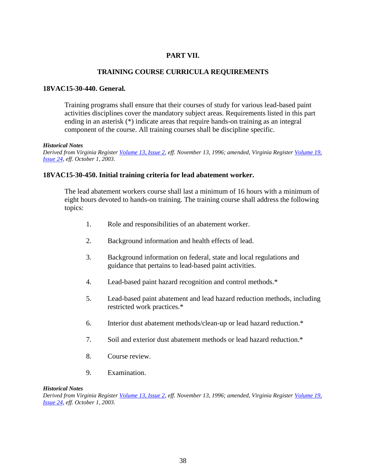# **PART VII.**

## **TRAINING COURSE CURRICULA REQUIREMENTS**

## **18VAC15-30-440. General.**

Training programs shall ensure that their courses of study for various lead-based paint activities disciplines cover the mandatory subject areas. Requirements listed in this part ending in an asterisk (\*) indicate areas that require hands-on training as an integral component of the course. All training courses shall be discipline specific.

#### *Historical Notes*

*Derived from Virginia Register [Volume 13, Issue 2,](http://register.dls.virginia.gov/vol13/iss02/v13i02.pdf) eff. November 13, 1996; amended, Virginia Register [Volume 19,](http://register.dls.virginia.gov/vol19/iss24/v19i24.pdf)  [Issue 24,](http://register.dls.virginia.gov/vol19/iss24/v19i24.pdf) eff. October 1, 2003.* 

## **18VAC15-30-450. Initial training criteria for lead abatement worker.**

The lead abatement workers course shall last a minimum of 16 hours with a minimum of eight hours devoted to hands-on training. The training course shall address the following topics:

- 1. Role and responsibilities of an abatement worker.
- 2. Background information and health effects of lead.
- 3. Background information on federal, state and local regulations and guidance that pertains to lead-based paint activities.
- 4. Lead-based paint hazard recognition and control methods.\*
- 5. Lead-based paint abatement and lead hazard reduction methods, including restricted work practices.\*
- 6. Interior dust abatement methods/clean-up or lead hazard reduction.\*
- 7. Soil and exterior dust abatement methods or lead hazard reduction.\*
- 8. Course review.
- 9. Examination.

#### *Historical Notes*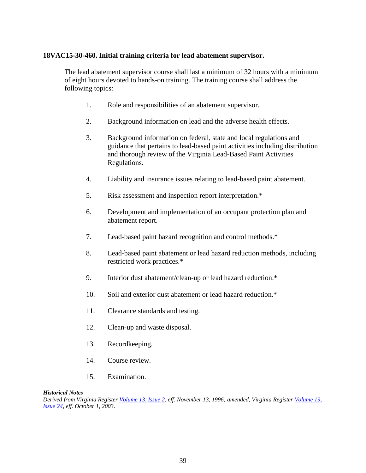## **18VAC15-30-460. Initial training criteria for lead abatement supervisor.**

The lead abatement supervisor course shall last a minimum of 32 hours with a minimum of eight hours devoted to hands-on training. The training course shall address the following topics:

- 1. Role and responsibilities of an abatement supervisor.
- 2. Background information on lead and the adverse health effects.
- 3. Background information on federal, state and local regulations and guidance that pertains to lead-based paint activities including distribution and thorough review of the Virginia Lead-Based Paint Activities Regulations.
- 4. Liability and insurance issues relating to lead-based paint abatement.
- 5. Risk assessment and inspection report interpretation.\*
- 6. Development and implementation of an occupant protection plan and abatement report.
- 7. Lead-based paint hazard recognition and control methods.\*
- 8. Lead-based paint abatement or lead hazard reduction methods, including restricted work practices.\*
- 9. Interior dust abatement/clean-up or lead hazard reduction.\*
- 10. Soil and exterior dust abatement or lead hazard reduction.\*
- 11. Clearance standards and testing.
- 12. Clean-up and waste disposal.
- 13. Recordkeeping.
- 14. Course review.
- 15. Examination.

## *Historical Notes*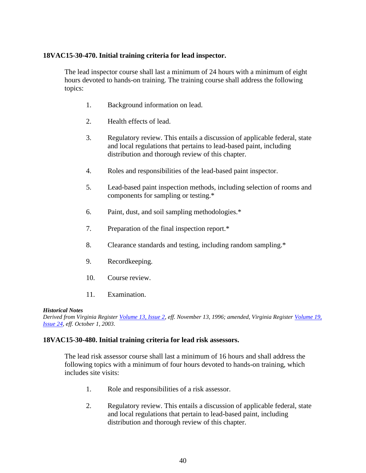## **18VAC15-30-470. Initial training criteria for lead inspector.**

The lead inspector course shall last a minimum of 24 hours with a minimum of eight hours devoted to hands-on training. The training course shall address the following topics:

- 1. Background information on lead.
- 2. Health effects of lead.
- 3. Regulatory review. This entails a discussion of applicable federal, state and local regulations that pertains to lead-based paint, including distribution and thorough review of this chapter.
- 4. Roles and responsibilities of the lead-based paint inspector.
- 5. Lead-based paint inspection methods, including selection of rooms and components for sampling or testing.\*
- 6. Paint, dust, and soil sampling methodologies.\*
- 7. Preparation of the final inspection report.\*
- 8. Clearance standards and testing, including random sampling.\*
- 9. Recordkeeping.
- 10. Course review.
- 11. Examination.

## *Historical Notes*

*Derived from Virginia Register [Volume 13, Issue 2,](http://register.dls.virginia.gov/vol13/iss02/v13i02.pdf) eff. November 13, 1996; amended, Virginia Register [Volume 19,](http://register.dls.virginia.gov/vol19/iss24/v19i24.pdf)  [Issue 24,](http://register.dls.virginia.gov/vol19/iss24/v19i24.pdf) eff. October 1, 2003.* 

## **18VAC15-30-480. Initial training criteria for lead risk assessors.**

The lead risk assessor course shall last a minimum of 16 hours and shall address the following topics with a minimum of four hours devoted to hands-on training, which includes site visits:

- 1. Role and responsibilities of a risk assessor.
- 2. Regulatory review. This entails a discussion of applicable federal, state and local regulations that pertain to lead-based paint, including distribution and thorough review of this chapter.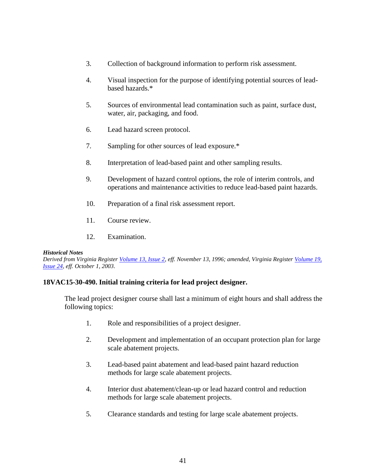- 3. Collection of background information to perform risk assessment.
- 4. Visual inspection for the purpose of identifying potential sources of leadbased hazards.\*
- 5. Sources of environmental lead contamination such as paint, surface dust, water, air, packaging, and food.
- 6. Lead hazard screen protocol.
- 7. Sampling for other sources of lead exposure.\*
- 8. Interpretation of lead-based paint and other sampling results.
- 9. Development of hazard control options, the role of interim controls, and operations and maintenance activities to reduce lead-based paint hazards.
- 10. Preparation of a final risk assessment report.
- 11. Course review.
- 12. Examination.

*Derived from Virginia Register [Volume 13, Issue 2,](http://register.dls.virginia.gov/vol13/iss02/v13i02.pdf) eff. November 13, 1996; amended, Virginia Register [Volume 19,](http://register.dls.virginia.gov/vol19/iss24/v19i24.pdf)  [Issue 24,](http://register.dls.virginia.gov/vol19/iss24/v19i24.pdf) eff. October 1, 2003.* 

## **18VAC15-30-490. Initial training criteria for lead project designer.**

The lead project designer course shall last a minimum of eight hours and shall address the following topics:

- 1. Role and responsibilities of a project designer.
- 2. Development and implementation of an occupant protection plan for large scale abatement projects.
- 3. Lead-based paint abatement and lead-based paint hazard reduction methods for large scale abatement projects.
- 4. Interior dust abatement/clean-up or lead hazard control and reduction methods for large scale abatement projects.
- 5. Clearance standards and testing for large scale abatement projects.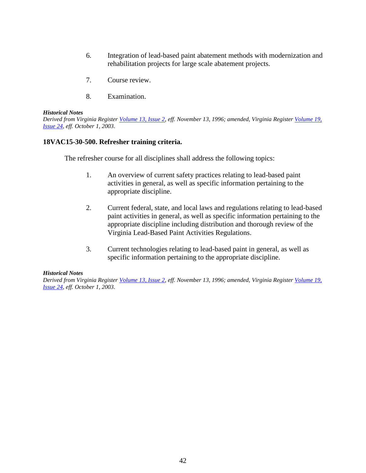- 6. Integration of lead-based paint abatement methods with modernization and rehabilitation projects for large scale abatement projects.
- 7. Course review.
- 8. Examination.

*Derived from Virginia Register [Volume 13, Issue 2,](http://register.dls.virginia.gov/vol13/iss02/v13i02.pdf) eff. November 13, 1996; amended, Virginia Register [Volume 19,](http://register.dls.virginia.gov/vol19/iss24/v19i24.pdf)  [Issue 24,](http://register.dls.virginia.gov/vol19/iss24/v19i24.pdf) eff. October 1, 2003.* 

## **18VAC15-30-500. Refresher training criteria.**

The refresher course for all disciplines shall address the following topics:

- 1. An overview of current safety practices relating to lead-based paint activities in general, as well as specific information pertaining to the appropriate discipline.
- 2. Current federal, state, and local laws and regulations relating to lead-based paint activities in general, as well as specific information pertaining to the appropriate discipline including distribution and thorough review of the Virginia Lead-Based Paint Activities Regulations.
- 3. Current technologies relating to lead-based paint in general, as well as specific information pertaining to the appropriate discipline.

## *Historical Notes*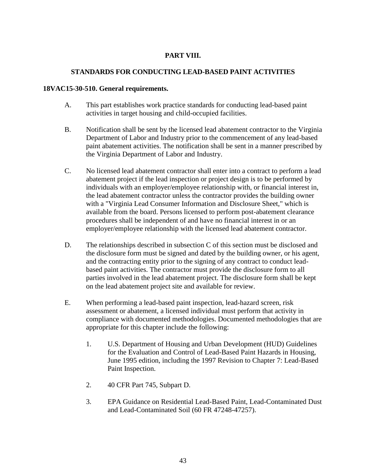# **PART VIII.**

# **STANDARDS FOR CONDUCTING LEAD-BASED PAINT ACTIVITIES**

## **18VAC15-30-510. General requirements.**

- A. This part establishes work practice standards for conducting lead-based paint activities in target housing and child-occupied facilities.
- B. Notification shall be sent by the licensed lead abatement contractor to the Virginia Department of Labor and Industry prior to the commencement of any lead-based paint abatement activities. The notification shall be sent in a manner prescribed by the Virginia Department of Labor and Industry.
- C. No licensed lead abatement contractor shall enter into a contract to perform a lead abatement project if the lead inspection or project design is to be performed by individuals with an employer/employee relationship with, or financial interest in, the lead abatement contractor unless the contractor provides the building owner with a "Virginia Lead Consumer Information and Disclosure Sheet," which is available from the board. Persons licensed to perform post-abatement clearance procedures shall be independent of and have no financial interest in or an employer/employee relationship with the licensed lead abatement contractor.
- D. The relationships described in subsection C of this section must be disclosed and the disclosure form must be signed and dated by the building owner, or his agent, and the contracting entity prior to the signing of any contract to conduct leadbased paint activities. The contractor must provide the disclosure form to all parties involved in the lead abatement project. The disclosure form shall be kept on the lead abatement project site and available for review.
- E. When performing a lead-based paint inspection, lead-hazard screen, risk assessment or abatement, a licensed individual must perform that activity in compliance with documented methodologies. Documented methodologies that are appropriate for this chapter include the following:
	- 1. U.S. Department of Housing and Urban Development (HUD) Guidelines for the Evaluation and Control of Lead-Based Paint Hazards in Housing, June 1995 edition, including the 1997 Revision to Chapter 7: Lead-Based Paint Inspection.
	- 2. 40 CFR Part 745, Subpart D.
	- 3. EPA Guidance on Residential Lead-Based Paint, Lead-Contaminated Dust and Lead-Contaminated Soil (60 FR 47248-47257).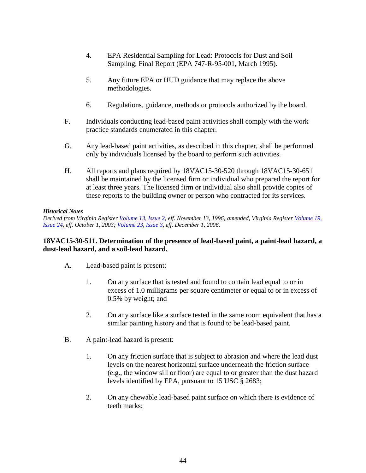- 4. EPA Residential Sampling for Lead: Protocols for Dust and Soil Sampling, Final Report (EPA 747-R-95-001, March 1995).
- 5. Any future EPA or HUD guidance that may replace the above methodologies.
- 6. Regulations, guidance, methods or protocols authorized by the board.
- F. Individuals conducting lead-based paint activities shall comply with the work practice standards enumerated in this chapter.
- G. Any lead-based paint activities, as described in this chapter, shall be performed only by individuals licensed by the board to perform such activities.
- H. All reports and plans required by 18VAC15-30-520 through 18VAC15-30-651 shall be maintained by the licensed firm or individual who prepared the report for at least three years. The licensed firm or individual also shall provide copies of these reports to the building owner or person who contracted for its services.

*Derived from Virginia Register [Volume 13, Issue 2,](http://register.dls.virginia.gov/vol13/iss02/v13i02.pdf) eff. November 13, 1996; amended, Virginia Register [Volume 19,](http://register.dls.virginia.gov/vol19/iss24/v19i24.pdf)  [Issue 24,](http://register.dls.virginia.gov/vol19/iss24/v19i24.pdf) eff. October 1, 2003; [Volume 23, Issue 3,](http://register.dls.virginia.gov/vol23/iss03/v23i03.pdf) eff. December 1, 2006.* 

## **18VAC15-30-511. Determination of the presence of lead-based paint, a paint-lead hazard, a dust-lead hazard, and a soil-lead hazard.**

- A. Lead-based paint is present:
	- 1. On any surface that is tested and found to contain lead equal to or in excess of 1.0 milligrams per square centimeter or equal to or in excess of 0.5% by weight; and
	- 2. On any surface like a surface tested in the same room equivalent that has a similar painting history and that is found to be lead-based paint.
- B. A paint-lead hazard is present:
	- 1. On any friction surface that is subject to abrasion and where the lead dust levels on the nearest horizontal surface underneath the friction surface (e.g., the window sill or floor) are equal to or greater than the dust hazard levels identified by EPA, pursuant to 15 USC § 2683;
	- 2. On any chewable lead-based paint surface on which there is evidence of teeth marks;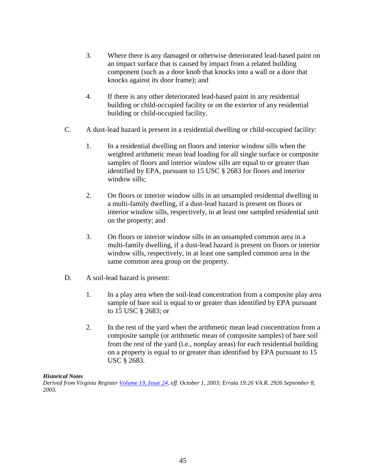- 3. Where there is any damaged or otherwise deteriorated lead-based paint on an impact surface that is caused by impact from a related building component (such as a door knob that knocks into a wall or a door that knocks against its door frame); and
- 4. If there is any other deteriorated lead-based paint in any residential building or child-occupied facility or on the exterior of any residential building or child-occupied facility.
- C. A dust-lead hazard is present in a residential dwelling or child-occupied facility:
	- 1. In a residential dwelling on floors and interior window sills when the weighted arithmetic mean lead loading for all single surface or composite samples of floors and interior window sills are equal to or greater than identified by EPA, pursuant to 15 USC § 2683 for floors and interior window sills;
	- 2. On floors or interior window sills in an unsampled residential dwelling in a multi-family dwelling, if a dust-lead hazard is present on floors or interior window sills, respectively, in at least one sampled residential unit on the property; and
	- 3. On floors or interior window sills in an unsampled common area in a multi-family dwelling, if a dust-lead hazard is present on floors or interior window sills, respectively, in at least one sampled common area in the same common area group on the property.
- D. A soil-lead hazard is present:
	- 1. In a play area when the soil-lead concentration from a composite play area sample of bare soil is equal to or greater than identified by EPA pursuant to 15 USC § 2683; or
	- 2. In the rest of the yard when the arithmetic mean lead concentration from a composite sample (or arithmetic mean of composite samples) of bare soil from the rest of the yard (i.e., nonplay areas) for each residential building on a property is equal to or greater than identified by EPA pursuant to 15 USC § 2683.

*Derived from Virginia Register [Volume 19, Issue 24,](http://register.dls.virginia.gov/vol19/iss24/v19i24.pdf) eff. October 1, 2003; Errata 19:26 VA.R. 2926 September 8, 2003.*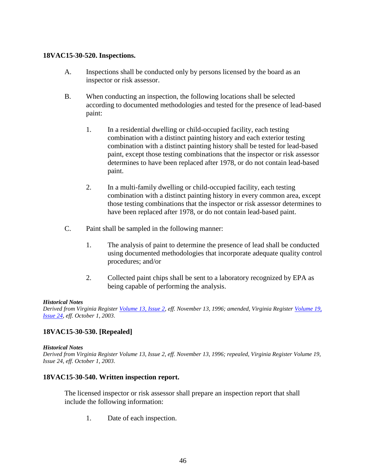## **18VAC15-30-520. Inspections.**

- A. Inspections shall be conducted only by persons licensed by the board as an inspector or risk assessor.
- B. When conducting an inspection, the following locations shall be selected according to documented methodologies and tested for the presence of lead-based paint:
	- 1. In a residential dwelling or child-occupied facility, each testing combination with a distinct painting history and each exterior testing combination with a distinct painting history shall be tested for lead-based paint, except those testing combinations that the inspector or risk assessor determines to have been replaced after 1978, or do not contain lead-based paint.
	- 2. In a multi-family dwelling or child-occupied facility, each testing combination with a distinct painting history in every common area, except those testing combinations that the inspector or risk assessor determines to have been replaced after 1978, or do not contain lead-based paint.
- C. Paint shall be sampled in the following manner:
	- 1. The analysis of paint to determine the presence of lead shall be conducted using documented methodologies that incorporate adequate quality control procedures; and/or
	- 2. Collected paint chips shall be sent to a laboratory recognized by EPA as being capable of performing the analysis.

## *Historical Notes*

*Derived from Virginia Register [Volume 13, Issue 2,](http://register.dls.virginia.gov/vol13/iss02/v13i02.pdf) eff. November 13, 1996; amended, Virginia Register [Volume 19,](http://register.dls.virginia.gov/vol19/iss24/v19i24.pdf)  [Issue 24,](http://register.dls.virginia.gov/vol19/iss24/v19i24.pdf) eff. October 1, 2003.* 

## **18VAC15-30-530. [Repealed]**

#### *Historical Notes*

*Derived from Virginia Register Volume 13, Issue 2, eff. November 13, 1996; repealed, Virginia Register Volume 19, Issue 24, eff. October 1, 2003.* 

## **18VAC15-30-540. Written inspection report.**

The licensed inspector or risk assessor shall prepare an inspection report that shall include the following information:

1. Date of each inspection.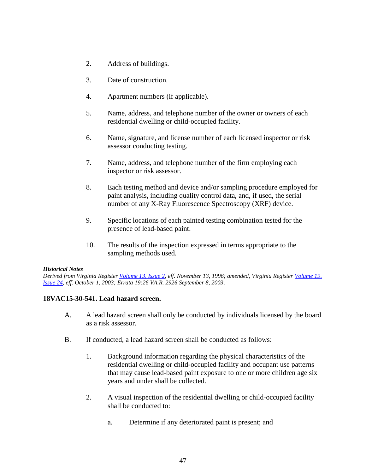- 2. Address of buildings.
- 3. Date of construction.
- 4. Apartment numbers (if applicable).
- 5. Name, address, and telephone number of the owner or owners of each residential dwelling or child-occupied facility.
- 6. Name, signature, and license number of each licensed inspector or risk assessor conducting testing.
- 7. Name, address, and telephone number of the firm employing each inspector or risk assessor.
- 8. Each testing method and device and/or sampling procedure employed for paint analysis, including quality control data, and, if used, the serial number of any X-Ray Fluorescence Spectroscopy (XRF) device.
- 9. Specific locations of each painted testing combination tested for the presence of lead-based paint.
- 10. The results of the inspection expressed in terms appropriate to the sampling methods used.

*Derived from Virginia Register [Volume 13, Issue 2,](http://register.dls.virginia.gov/vol13/iss02/v13i02.pdf) eff. November 13, 1996; amended, Virginia Register [Volume 19,](http://register.dls.virginia.gov/vol19/iss24/v19i24.pdf)  [Issue 24,](http://register.dls.virginia.gov/vol19/iss24/v19i24.pdf) eff. October 1, 2003; Errata 19:26 VA.R. 2926 September 8, 2003.* 

## **18VAC15-30-541. Lead hazard screen.**

- A. A lead hazard screen shall only be conducted by individuals licensed by the board as a risk assessor.
- B. If conducted, a lead hazard screen shall be conducted as follows:
	- 1. Background information regarding the physical characteristics of the residential dwelling or child-occupied facility and occupant use patterns that may cause lead-based paint exposure to one or more children age six years and under shall be collected.
	- 2. A visual inspection of the residential dwelling or child-occupied facility shall be conducted to:
		- a. Determine if any deteriorated paint is present; and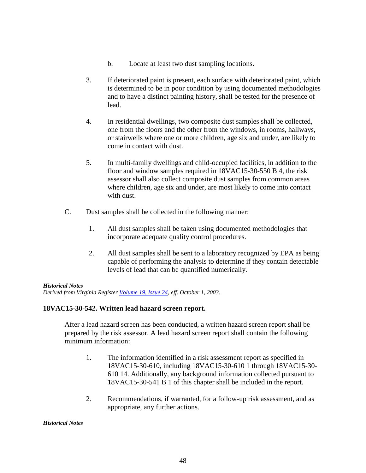- b. Locate at least two dust sampling locations.
- 3. If deteriorated paint is present, each surface with deteriorated paint, which is determined to be in poor condition by using documented methodologies and to have a distinct painting history, shall be tested for the presence of lead.
- 4. In residential dwellings, two composite dust samples shall be collected, one from the floors and the other from the windows, in rooms, hallways, or stairwells where one or more children, age six and under, are likely to come in contact with dust.
- 5. In multi-family dwellings and child-occupied facilities, in addition to the floor and window samples required in 18VAC15-30-550 B 4, the risk assessor shall also collect composite dust samples from common areas where children, age six and under, are most likely to come into contact with dust.
- C. Dust samples shall be collected in the following manner:
	- 1. All dust samples shall be taken using documented methodologies that incorporate adequate quality control procedures.
	- 2. All dust samples shall be sent to a laboratory recognized by EPA as being capable of performing the analysis to determine if they contain detectable levels of lead that can be quantified numerically.

*Derived from Virginia Register [Volume 19, Issue 24,](http://register.dls.virginia.gov/vol19/iss24/v19i24.pdf) eff. October 1, 2003.* 

## **18VAC15-30-542. Written lead hazard screen report.**

After a lead hazard screen has been conducted, a written hazard screen report shall be prepared by the risk assessor. A lead hazard screen report shall contain the following minimum information:

- 1. The information identified in a risk assessment report as specified in 18VAC15-30-610, including 18VAC15-30-610 1 through 18VAC15-30- 610 14. Additionally, any background information collected pursuant to 18VAC15-30-541 B 1 of this chapter shall be included in the report.
- 2. Recommendations, if warranted, for a follow-up risk assessment, and as appropriate, any further actions.

#### *Historical Notes*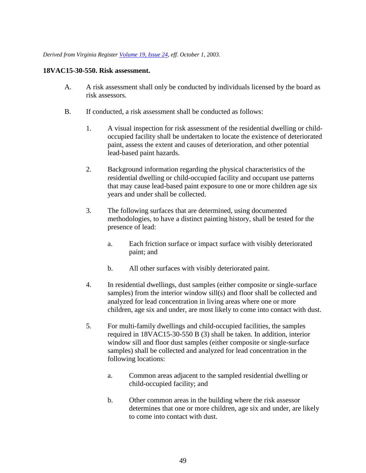*Derived from Virginia Register [Volume 19, Issue 24,](http://register.dls.virginia.gov/vol19/iss24/v19i24.pdf) eff. October 1, 2003.* 

## **18VAC15-30-550. Risk assessment.**

- A. A risk assessment shall only be conducted by individuals licensed by the board as risk assessors.
- B. If conducted, a risk assessment shall be conducted as follows:
	- 1. A visual inspection for risk assessment of the residential dwelling or childoccupied facility shall be undertaken to locate the existence of deteriorated paint, assess the extent and causes of deterioration, and other potential lead-based paint hazards.
	- 2. Background information regarding the physical characteristics of the residential dwelling or child-occupied facility and occupant use patterns that may cause lead-based paint exposure to one or more children age six years and under shall be collected.
	- 3. The following surfaces that are determined, using documented methodologies, to have a distinct painting history, shall be tested for the presence of lead:
		- a. Each friction surface or impact surface with visibly deteriorated paint; and
		- b. All other surfaces with visibly deteriorated paint.
	- 4. In residential dwellings, dust samples (either composite or single-surface samples) from the interior window sill(s) and floor shall be collected and analyzed for lead concentration in living areas where one or more children, age six and under, are most likely to come into contact with dust.
	- 5. For multi-family dwellings and child-occupied facilities, the samples required in 18VAC15-30-550 B (3) shall be taken. In addition, interior window sill and floor dust samples (either composite or single-surface samples) shall be collected and analyzed for lead concentration in the following locations:
		- a. Common areas adjacent to the sampled residential dwelling or child-occupied facility; and
		- b. Other common areas in the building where the risk assessor determines that one or more children, age six and under, are likely to come into contact with dust.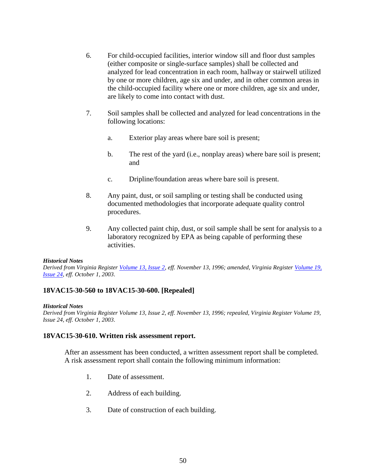- 6. For child-occupied facilities, interior window sill and floor dust samples (either composite or single-surface samples) shall be collected and analyzed for lead concentration in each room, hallway or stairwell utilized by one or more children, age six and under, and in other common areas in the child-occupied facility where one or more children, age six and under, are likely to come into contact with dust.
- 7. Soil samples shall be collected and analyzed for lead concentrations in the following locations:
	- a. Exterior play areas where bare soil is present;
	- b. The rest of the yard (i.e., nonplay areas) where bare soil is present; and
	- c. Dripline/foundation areas where bare soil is present.
- 8. Any paint, dust, or soil sampling or testing shall be conducted using documented methodologies that incorporate adequate quality control procedures.
- 9. Any collected paint chip, dust, or soil sample shall be sent for analysis to a laboratory recognized by EPA as being capable of performing these activities.

*Derived from Virginia Register [Volume 13, Issue 2,](http://register.dls.virginia.gov/vol13/iss02/v13i02.pdf) eff. November 13, 1996; amended, Virginia Register [Volume 19,](http://register.dls.virginia.gov/vol19/iss24/v19i24.pdf)  [Issue 24,](http://register.dls.virginia.gov/vol19/iss24/v19i24.pdf) eff. October 1, 2003.* 

## **18VAC15-30-560 to 18VAC15-30-600. [Repealed]**

#### *Historical Notes*

*Derived from Virginia Register Volume 13, Issue 2, eff. November 13, 1996; repealed, Virginia Register Volume 19, Issue 24, eff. October 1, 2003.* 

#### **18VAC15-30-610. Written risk assessment report.**

After an assessment has been conducted, a written assessment report shall be completed. A risk assessment report shall contain the following minimum information:

- 1. Date of assessment.
- 2. Address of each building.
- 3. Date of construction of each building.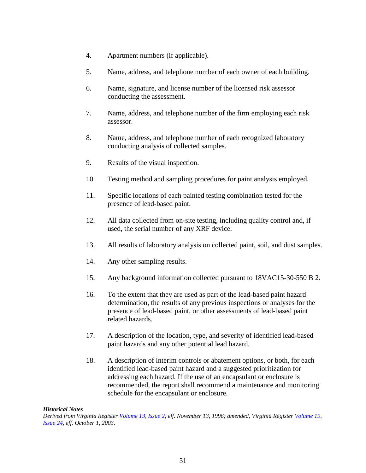- 4. Apartment numbers (if applicable).
- 5. Name, address, and telephone number of each owner of each building.
- 6. Name, signature, and license number of the licensed risk assessor conducting the assessment.
- 7. Name, address, and telephone number of the firm employing each risk assessor.
- 8. Name, address, and telephone number of each recognized laboratory conducting analysis of collected samples.
- 9. Results of the visual inspection.
- 10. Testing method and sampling procedures for paint analysis employed.
- 11. Specific locations of each painted testing combination tested for the presence of lead-based paint.
- 12. All data collected from on-site testing, including quality control and, if used, the serial number of any XRF device.
- 13. All results of laboratory analysis on collected paint, soil, and dust samples.
- 14. Any other sampling results.
- 15. Any background information collected pursuant to 18VAC15-30-550 B 2.
- 16. To the extent that they are used as part of the lead-based paint hazard determination, the results of any previous inspections or analyses for the presence of lead-based paint, or other assessments of lead-based paint related hazards.
- 17. A description of the location, type, and severity of identified lead-based paint hazards and any other potential lead hazard.
- 18. A description of interim controls or abatement options, or both, for each identified lead-based paint hazard and a suggested prioritization for addressing each hazard. If the use of an encapsulant or enclosure is recommended, the report shall recommend a maintenance and monitoring schedule for the encapsulant or enclosure.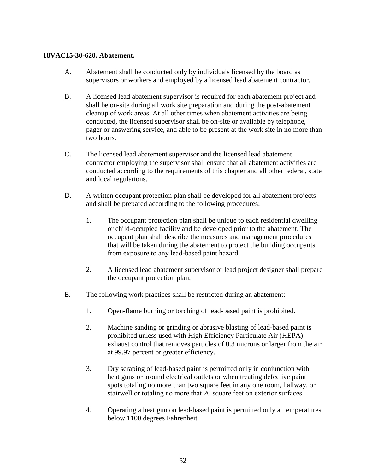## **18VAC15-30-620. Abatement.**

- A. Abatement shall be conducted only by individuals licensed by the board as supervisors or workers and employed by a licensed lead abatement contractor.
- B. A licensed lead abatement supervisor is required for each abatement project and shall be on-site during all work site preparation and during the post-abatement cleanup of work areas. At all other times when abatement activities are being conducted, the licensed supervisor shall be on-site or available by telephone, pager or answering service, and able to be present at the work site in no more than two hours.
- C. The licensed lead abatement supervisor and the licensed lead abatement contractor employing the supervisor shall ensure that all abatement activities are conducted according to the requirements of this chapter and all other federal, state and local regulations.
- D. A written occupant protection plan shall be developed for all abatement projects and shall be prepared according to the following procedures:
	- 1. The occupant protection plan shall be unique to each residential dwelling or child-occupied facility and be developed prior to the abatement. The occupant plan shall describe the measures and management procedures that will be taken during the abatement to protect the building occupants from exposure to any lead-based paint hazard.
	- 2. A licensed lead abatement supervisor or lead project designer shall prepare the occupant protection plan.
- E. The following work practices shall be restricted during an abatement:
	- 1. Open-flame burning or torching of lead-based paint is prohibited.
	- 2. Machine sanding or grinding or abrasive blasting of lead-based paint is prohibited unless used with High Efficiency Particulate Air (HEPA) exhaust control that removes particles of 0.3 microns or larger from the air at 99.97 percent or greater efficiency.
	- 3. Dry scraping of lead-based paint is permitted only in conjunction with heat guns or around electrical outlets or when treating defective paint spots totaling no more than two square feet in any one room, hallway, or stairwell or totaling no more that 20 square feet on exterior surfaces.
	- 4. Operating a heat gun on lead-based paint is permitted only at temperatures below 1100 degrees Fahrenheit.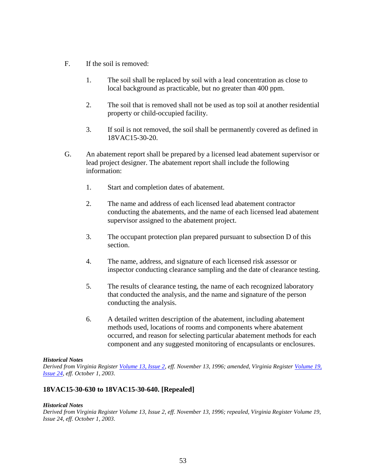- F. If the soil is removed:
	- 1. The soil shall be replaced by soil with a lead concentration as close to local background as practicable, but no greater than 400 ppm.
	- 2. The soil that is removed shall not be used as top soil at another residential property or child-occupied facility.
	- 3. If soil is not removed, the soil shall be permanently covered as defined in 18VAC15-30-20.
- G. An abatement report shall be prepared by a licensed lead abatement supervisor or lead project designer. The abatement report shall include the following information:
	- 1. Start and completion dates of abatement.
	- 2. The name and address of each licensed lead abatement contractor conducting the abatements, and the name of each licensed lead abatement supervisor assigned to the abatement project.
	- 3. The occupant protection plan prepared pursuant to subsection D of this section.
	- 4. The name, address, and signature of each licensed risk assessor or inspector conducting clearance sampling and the date of clearance testing.
	- 5. The results of clearance testing, the name of each recognized laboratory that conducted the analysis, and the name and signature of the person conducting the analysis.
	- 6. A detailed written description of the abatement, including abatement methods used, locations of rooms and components where abatement occurred, and reason for selecting particular abatement methods for each component and any suggested monitoring of encapsulants or enclosures.

*Derived from Virginia Register [Volume 13, Issue 2,](http://register.dls.virginia.gov/vol13/iss02/v13i02.pdf) eff. November 13, 1996; amended, Virginia Register [Volume 19,](http://register.dls.virginia.gov/vol19/iss24/v19i24.pdf)  [Issue 24,](http://register.dls.virginia.gov/vol19/iss24/v19i24.pdf) eff. October 1, 2003.* 

## **18VAC15-30-630 to 18VAC15-30-640. [Repealed]**

#### *Historical Notes*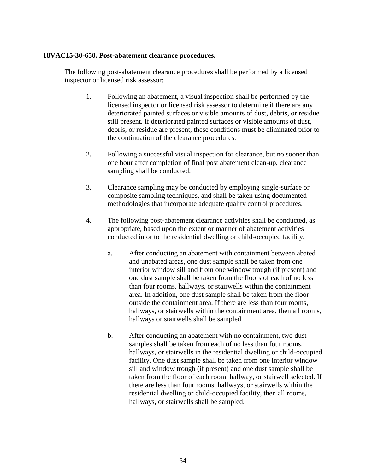## **18VAC15-30-650. Post-abatement clearance procedures.**

The following post-abatement clearance procedures shall be performed by a licensed inspector or licensed risk assessor:

- 1. Following an abatement, a visual inspection shall be performed by the licensed inspector or licensed risk assessor to determine if there are any deteriorated painted surfaces or visible amounts of dust, debris, or residue still present. If deteriorated painted surfaces or visible amounts of dust, debris, or residue are present, these conditions must be eliminated prior to the continuation of the clearance procedures.
- 2. Following a successful visual inspection for clearance, but no sooner than one hour after completion of final post abatement clean-up, clearance sampling shall be conducted.
- 3. Clearance sampling may be conducted by employing single-surface or composite sampling techniques, and shall be taken using documented methodologies that incorporate adequate quality control procedures.
- 4. The following post-abatement clearance activities shall be conducted, as appropriate, based upon the extent or manner of abatement activities conducted in or to the residential dwelling or child-occupied facility.
	- a. After conducting an abatement with containment between abated and unabated areas, one dust sample shall be taken from one interior window sill and from one window trough (if present) and one dust sample shall be taken from the floors of each of no less than four rooms, hallways, or stairwells within the containment area. In addition, one dust sample shall be taken from the floor outside the containment area. If there are less than four rooms, hallways, or stairwells within the containment area, then all rooms, hallways or stairwells shall be sampled.
	- b. After conducting an abatement with no containment, two dust samples shall be taken from each of no less than four rooms, hallways, or stairwells in the residential dwelling or child-occupied facility. One dust sample shall be taken from one interior window sill and window trough (if present) and one dust sample shall be taken from the floor of each room, hallway, or stairwell selected. If there are less than four rooms, hallways, or stairwells within the residential dwelling or child-occupied facility, then all rooms, hallways, or stairwells shall be sampled.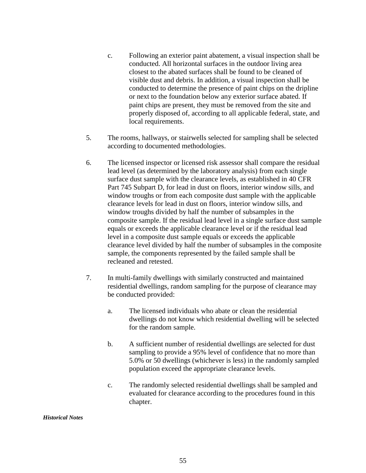- c. Following an exterior paint abatement, a visual inspection shall be conducted. All horizontal surfaces in the outdoor living area closest to the abated surfaces shall be found to be cleaned of visible dust and debris. In addition, a visual inspection shall be conducted to determine the presence of paint chips on the dripline or next to the foundation below any exterior surface abated. If paint chips are present, they must be removed from the site and properly disposed of, according to all applicable federal, state, and local requirements.
- 5. The rooms, hallways, or stairwells selected for sampling shall be selected according to documented methodologies.
- 6. The licensed inspector or licensed risk assessor shall compare the residual lead level (as determined by the laboratory analysis) from each single surface dust sample with the clearance levels, as established in 40 CFR Part 745 Subpart D, for lead in dust on floors, interior window sills, and window troughs or from each composite dust sample with the applicable clearance levels for lead in dust on floors, interior window sills, and window troughs divided by half the number of subsamples in the composite sample. If the residual lead level in a single surface dust sample equals or exceeds the applicable clearance level or if the residual lead level in a composite dust sample equals or exceeds the applicable clearance level divided by half the number of subsamples in the composite sample, the components represented by the failed sample shall be recleaned and retested.
- 7. In multi-family dwellings with similarly constructed and maintained residential dwellings, random sampling for the purpose of clearance may be conducted provided:
	- a. The licensed individuals who abate or clean the residential dwellings do not know which residential dwelling will be selected for the random sample.
	- b. A sufficient number of residential dwellings are selected for dust sampling to provide a 95% level of confidence that no more than 5.0% or 50 dwellings (whichever is less) in the randomly sampled population exceed the appropriate clearance levels.
	- c. The randomly selected residential dwellings shall be sampled and evaluated for clearance according to the procedures found in this chapter.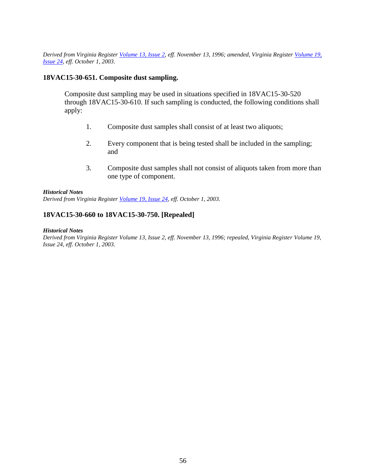*Derived from Virginia Register [Volume 13, Issue 2,](http://register.dls.virginia.gov/vol13/iss02/v13i02.pdf) eff. November 13, 1996; amended, Virginia Register [Volume 19,](http://register.dls.virginia.gov/vol19/iss24/v19i24.pdf)  [Issue 24,](http://register.dls.virginia.gov/vol19/iss24/v19i24.pdf) eff. October 1, 2003.* 

## **18VAC15-30-651. Composite dust sampling.**

Composite dust sampling may be used in situations specified in 18VAC15-30-520 through 18VAC15-30-610. If such sampling is conducted, the following conditions shall apply:

- 1. Composite dust samples shall consist of at least two aliquots;
- 2. Every component that is being tested shall be included in the sampling; and
- 3. Composite dust samples shall not consist of aliquots taken from more than one type of component.

#### *Historical Notes*

*Derived from Virginia Register [Volume 19, Issue 24,](http://register.dls.virginia.gov/vol19/iss24/v19i24.pdf) eff. October 1, 2003.* 

## **18VAC15-30-660 to 18VAC15-30-750. [Repealed]**

#### *Historical Notes*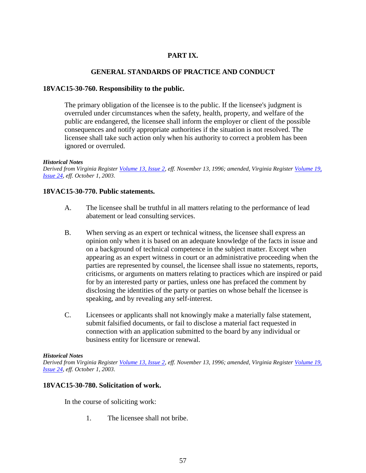# **PART IX.**

## **GENERAL STANDARDS OF PRACTICE AND CONDUCT**

## **18VAC15-30-760. Responsibility to the public.**

The primary obligation of the licensee is to the public. If the licensee's judgment is overruled under circumstances when the safety, health, property, and welfare of the public are endangered, the licensee shall inform the employer or client of the possible consequences and notify appropriate authorities if the situation is not resolved. The licensee shall take such action only when his authority to correct a problem has been ignored or overruled.

## *Historical Notes*

*Derived from Virginia Register [Volume 13, Issue 2,](http://register.dls.virginia.gov/vol13/iss02/v13i02.pdf) eff. November 13, 1996; amended, Virginia Register [Volume 19,](http://register.dls.virginia.gov/vol19/iss24/v19i24.pdf)  [Issue 24,](http://register.dls.virginia.gov/vol19/iss24/v19i24.pdf) eff. October 1, 2003.* 

## **18VAC15-30-770. Public statements.**

- A. The licensee shall be truthful in all matters relating to the performance of lead abatement or lead consulting services.
- B. When serving as an expert or technical witness, the licensee shall express an opinion only when it is based on an adequate knowledge of the facts in issue and on a background of technical competence in the subject matter. Except when appearing as an expert witness in court or an administrative proceeding when the parties are represented by counsel, the licensee shall issue no statements, reports, criticisms, or arguments on matters relating to practices which are inspired or paid for by an interested party or parties, unless one has prefaced the comment by disclosing the identities of the party or parties on whose behalf the licensee is speaking, and by revealing any self-interest.
- C. Licensees or applicants shall not knowingly make a materially false statement, submit falsified documents, or fail to disclose a material fact requested in connection with an application submitted to the board by any individual or business entity for licensure or renewal.

## *Historical Notes*

*Derived from Virginia Register [Volume 13, Issue 2,](http://register.dls.virginia.gov/vol13/iss02/v13i02.pdf) eff. November 13, 1996; amended, Virginia Register [Volume 19,](http://register.dls.virginia.gov/vol19/iss24/v19i24.pdf)  [Issue 24,](http://register.dls.virginia.gov/vol19/iss24/v19i24.pdf) eff. October 1, 2003.* 

## **18VAC15-30-780. Solicitation of work.**

In the course of soliciting work:

1. The licensee shall not bribe.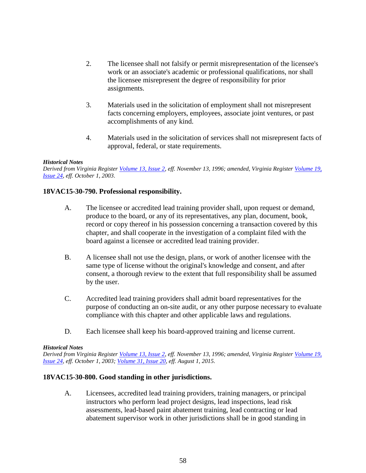- 2. The licensee shall not falsify or permit misrepresentation of the licensee's work or an associate's academic or professional qualifications, nor shall the licensee misrepresent the degree of responsibility for prior assignments.
- 3. Materials used in the solicitation of employment shall not misrepresent facts concerning employers, employees, associate joint ventures, or past accomplishments of any kind.
- 4. Materials used in the solicitation of services shall not misrepresent facts of approval, federal, or state requirements.

*Derived from Virginia Register [Volume 13, Issue 2,](http://register.dls.virginia.gov/vol13/iss02/v13i02.pdf) eff. November 13, 1996; amended, Virginia Register [Volume 19,](http://register.dls.virginia.gov/vol19/iss24/v19i24.pdf)  [Issue 24,](http://register.dls.virginia.gov/vol19/iss24/v19i24.pdf) eff. October 1, 2003.* 

## **18VAC15-30-790. Professional responsibility.**

- A. The licensee or accredited lead training provider shall, upon request or demand, produce to the board, or any of its representatives, any plan, document, book, record or copy thereof in his possession concerning a transaction covered by this chapter, and shall cooperate in the investigation of a complaint filed with the board against a licensee or accredited lead training provider.
- B. A licensee shall not use the design, plans, or work of another licensee with the same type of license without the original's knowledge and consent, and after consent, a thorough review to the extent that full responsibility shall be assumed by the user.
- C. Accredited lead training providers shall admit board representatives for the purpose of conducting an on-site audit, or any other purpose necessary to evaluate compliance with this chapter and other applicable laws and regulations.
- D. Each licensee shall keep his board-approved training and license current.

#### *Historical Notes*

*Derived from Virginia Register [Volume 13, Issue 2,](http://register.dls.virginia.gov/vol13/iss02/v13i02.pdf) eff. November 13, 1996; amended, Virginia Register [Volume 19,](http://register.dls.virginia.gov/vol19/iss24/v19i24.pdf)  [Issue 24,](http://register.dls.virginia.gov/vol19/iss24/v19i24.pdf) eff. October 1, 2003; [Volume 31, Issue 20,](http://register.dls.virginia.gov/toc.aspx?voliss=31:20) eff. August 1, 2015.*

## **18VAC15-30-800. Good standing in other jurisdictions.**

A. Licensees, accredited lead training providers, training managers, or principal instructors who perform lead project designs, lead inspections, lead risk assessments, lead-based paint abatement training, lead contracting or lead abatement supervisor work in other jurisdictions shall be in good standing in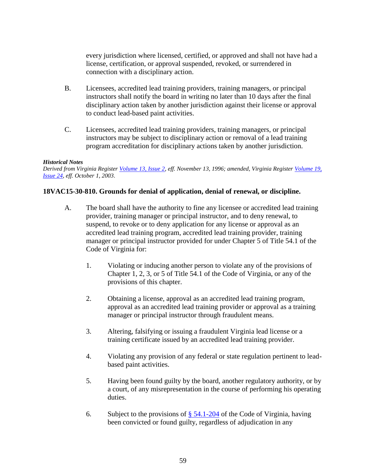every jurisdiction where licensed, certified, or approved and shall not have had a license, certification, or approval suspended, revoked, or surrendered in connection with a disciplinary action.

- B. Licensees, accredited lead training providers, training managers, or principal instructors shall notify the board in writing no later than 10 days after the final disciplinary action taken by another jurisdiction against their license or approval to conduct lead-based paint activities.
- C. Licensees, accredited lead training providers, training managers, or principal instructors may be subject to disciplinary action or removal of a lead training program accreditation for disciplinary actions taken by another jurisdiction.

## *Historical Notes*

*Derived from Virginia Register [Volume 13, Issue 2,](http://register.dls.virginia.gov/vol13/iss02/v13i02.pdf) eff. November 13, 1996; amended, Virginia Register [Volume 19,](http://register.dls.virginia.gov/vol19/iss24/v19i24.pdf)  [Issue 24,](http://register.dls.virginia.gov/vol19/iss24/v19i24.pdf) eff. October 1, 2003.* 

## **18VAC15-30-810. Grounds for denial of application, denial of renewal, or discipline.**

- A. The board shall have the authority to fine any licensee or accredited lead training provider, training manager or principal instructor, and to deny renewal, to suspend, to revoke or to deny application for any license or approval as an accredited lead training program, accredited lead training provider, training manager or principal instructor provided for under Chapter 5 of Title 54.1 of the Code of Virginia for:
	- 1. Violating or inducing another person to violate any of the provisions of Chapter 1, 2, 3, or 5 of Title 54.1 of the Code of Virginia, or any of the provisions of this chapter.
	- 2. Obtaining a license, approval as an accredited lead training program, approval as an accredited lead training provider or approval as a training manager or principal instructor through fraudulent means.
	- 3. Altering, falsifying or issuing a fraudulent Virginia lead license or a training certificate issued by an accredited lead training provider.
	- 4. Violating any provision of any federal or state regulation pertinent to leadbased paint activities.
	- 5. Having been found guilty by the board, another regulatory authority, or by a court, of any misrepresentation in the course of performing his operating duties.
	- 6. Subject to the provisions of  $\S$  54.1-204 of the Code of Virginia, having been convicted or found guilty, regardless of adjudication in any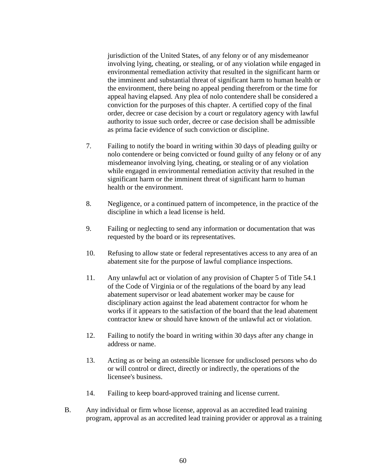jurisdiction of the United States, of any felony or of any misdemeanor involving lying, cheating, or stealing, or of any violation while engaged in environmental remediation activity that resulted in the significant harm or the imminent and substantial threat of significant harm to human health or the environment, there being no appeal pending therefrom or the time for appeal having elapsed. Any plea of nolo contendere shall be considered a conviction for the purposes of this chapter. A certified copy of the final order, decree or case decision by a court or regulatory agency with lawful authority to issue such order, decree or case decision shall be admissible as prima facie evidence of such conviction or discipline.

- 7. Failing to notify the board in writing within 30 days of pleading guilty or nolo contendere or being convicted or found guilty of any felony or of any misdemeanor involving lying, cheating, or stealing or of any violation while engaged in environmental remediation activity that resulted in the significant harm or the imminent threat of significant harm to human health or the environment.
- 8. Negligence, or a continued pattern of incompetence, in the practice of the discipline in which a lead license is held.
- 9. Failing or neglecting to send any information or documentation that was requested by the board or its representatives.
- 10. Refusing to allow state or federal representatives access to any area of an abatement site for the purpose of lawful compliance inspections.
- 11. Any unlawful act or violation of any provision of Chapter 5 of Title 54.1 of the Code of Virginia or of the regulations of the board by any lead abatement supervisor or lead abatement worker may be cause for disciplinary action against the lead abatement contractor for whom he works if it appears to the satisfaction of the board that the lead abatement contractor knew or should have known of the unlawful act or violation.
- 12. Failing to notify the board in writing within 30 days after any change in address or name.
- 13. Acting as or being an ostensible licensee for undisclosed persons who do or will control or direct, directly or indirectly, the operations of the licensee's business.
- 14. Failing to keep board-approved training and license current.
- B. Any individual or firm whose license, approval as an accredited lead training program, approval as an accredited lead training provider or approval as a training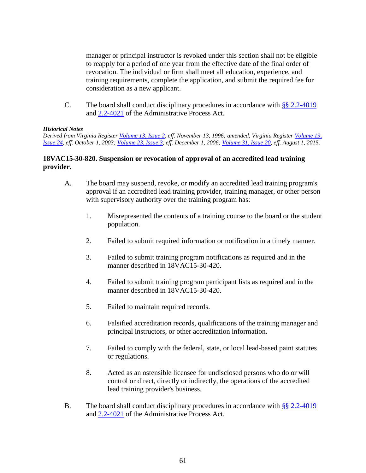manager or principal instructor is revoked under this section shall not be eligible to reapply for a period of one year from the effective date of the final order of revocation. The individual or firm shall meet all education, experience, and training requirements, complete the application, and submit the required fee for consideration as a new applicant.

C. The board shall conduct disciplinary procedures in accordance with [§§ 2.2-4019](https://law.lis.virginia.gov/vacode/title2.2/chapter40/section2.2-4019/) and [2.2-4021](https://law.lis.virginia.gov/vacode/title2.2/chapter40/section2.2-4021/) of the Administrative Process Act.

## *Historical Notes*

*Derived from Virginia Register [Volume 13, Issue 2,](http://register.dls.virginia.gov/vol13/iss02/v13i02.pdf) eff. November 13, 1996; amended, Virginia Register [Volume 19,](http://register.dls.virginia.gov/vol19/iss24/v19i24.pdf)  [Issue 24,](http://register.dls.virginia.gov/vol19/iss24/v19i24.pdf) eff. October 1, 2003; [Volume 23, Issue 3,](http://register.dls.virginia.gov/vol23/iss03/v23i03.pdf) eff. December 1, 2006; [Volume 31, Issue 20,](http://register.dls.virginia.gov/toc.aspx?voliss=31:20) eff. August 1, 2015.*

## **18VAC15-30-820. Suspension or revocation of approval of an accredited lead training provider.**

- A. The board may suspend, revoke, or modify an accredited lead training program's approval if an accredited lead training provider, training manager, or other person with supervisory authority over the training program has:
	- 1. Misrepresented the contents of a training course to the board or the student population.
	- 2. Failed to submit required information or notification in a timely manner.
	- 3. Failed to submit training program notifications as required and in the manner described in 18VAC15-30-420.
	- 4. Failed to submit training program participant lists as required and in the manner described in 18VAC15-30-420.
	- 5. Failed to maintain required records.
	- 6. Falsified accreditation records, qualifications of the training manager and principal instructors, or other accreditation information.
	- 7. Failed to comply with the federal, state, or local lead-based paint statutes or regulations.
	- 8. Acted as an ostensible licensee for undisclosed persons who do or will control or direct, directly or indirectly, the operations of the accredited lead training provider's business.
- B. The board shall conduct disciplinary procedures in accordance with [§§ 2.2-4019](https://law.lis.virginia.gov/vacode/title2.2/chapter40/section2.2-4019/) and [2.2-4021](https://law.lis.virginia.gov/vacode/title2.2/chapter40/section2.2-4021/) of the Administrative Process Act.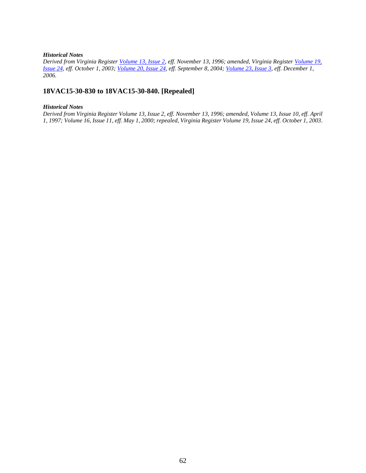*Derived from Virginia Register [Volume 13, Issue 2,](http://register.dls.virginia.gov/vol13/iss02/v13i02.pdf) eff. November 13, 1996; amended, Virginia Register [Volume 19,](http://register.dls.virginia.gov/vol19/iss24/v19i24.pdf)  [Issue 24,](http://register.dls.virginia.gov/vol19/iss24/v19i24.pdf) eff. October 1, 2003; [Volume 20, Issue 24,](http://register.dls.virginia.gov/vol20/iss24/v20i24.pdf) eff. September 8, 2004; [Volume 23, Issue 3,](http://register.dls.virginia.gov/vol23/iss03/v23i03.pdf) eff. December 1, 2006.* 

## **18VAC15-30-830 to 18VAC15-30-840. [Repealed]**

#### *Historical Notes*

*Derived from Virginia Register Volume 13, Issue 2, eff. November 13, 1996; amended, Volume 13, Issue 10, eff. April 1, 1997; Volume 16, Issue 11, eff. May 1, 2000; repealed, Virginia Register Volume 19, Issue 24, eff. October 1, 2003.*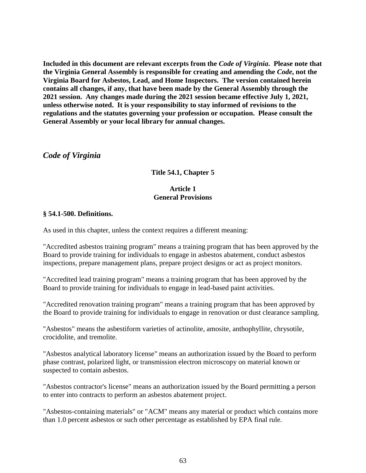**Included in this document are relevant excerpts from the** *Code of Virginia***. Please note that the Virginia General Assembly is responsible for creating and amending the** *Code***, not the Virginia Board for Asbestos, Lead, and Home Inspectors. The version contained herein contains all changes, if any, that have been made by the General Assembly through the 2021 session. Any changes made during the 2021 session became effective July 1, 2021, unless otherwise noted. It is your responsibility to stay informed of revisions to the regulations and the statutes governing your profession or occupation. Please consult the General Assembly or your local library for annual changes.**

# *Code of Virginia*

# **Title 54.1, Chapter 5**

# **Article 1 General Provisions**

## **§ 54.1-500. Definitions.**

As used in this chapter, unless the context requires a different meaning:

"Accredited asbestos training program" means a training program that has been approved by the Board to provide training for individuals to engage in asbestos abatement, conduct asbestos inspections, prepare management plans, prepare project designs or act as project monitors.

"Accredited lead training program" means a training program that has been approved by the Board to provide training for individuals to engage in lead-based paint activities.

"Accredited renovation training program" means a training program that has been approved by the Board to provide training for individuals to engage in renovation or dust clearance sampling.

"Asbestos" means the asbestiform varieties of actinolite, amosite, anthophyllite, chrysotile, crocidolite, and tremolite.

"Asbestos analytical laboratory license" means an authorization issued by the Board to perform phase contrast, polarized light, or transmission electron microscopy on material known or suspected to contain asbestos.

"Asbestos contractor's license" means an authorization issued by the Board permitting a person to enter into contracts to perform an asbestos abatement project.

"Asbestos-containing materials" or "ACM" means any material or product which contains more than 1.0 percent asbestos or such other percentage as established by EPA final rule.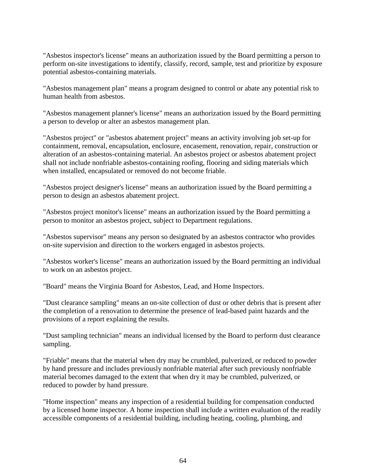"Asbestos inspector's license" means an authorization issued by the Board permitting a person to perform on-site investigations to identify, classify, record, sample, test and prioritize by exposure potential asbestos-containing materials.

"Asbestos management plan" means a program designed to control or abate any potential risk to human health from asbestos.

"Asbestos management planner's license" means an authorization issued by the Board permitting a person to develop or alter an asbestos management plan.

"Asbestos project" or "asbestos abatement project" means an activity involving job set-up for containment, removal, encapsulation, enclosure, encasement, renovation, repair, construction or alteration of an asbestos-containing material. An asbestos project or asbestos abatement project shall not include nonfriable asbestos-containing roofing, flooring and siding materials which when installed, encapsulated or removed do not become friable.

"Asbestos project designer's license" means an authorization issued by the Board permitting a person to design an asbestos abatement project.

"Asbestos project monitor's license" means an authorization issued by the Board permitting a person to monitor an asbestos project, subject to Department regulations.

"Asbestos supervisor" means any person so designated by an asbestos contractor who provides on-site supervision and direction to the workers engaged in asbestos projects.

"Asbestos worker's license" means an authorization issued by the Board permitting an individual to work on an asbestos project.

"Board" means the Virginia Board for Asbestos, Lead, and Home Inspectors.

"Dust clearance sampling" means an on-site collection of dust or other debris that is present after the completion of a renovation to determine the presence of lead-based paint hazards and the provisions of a report explaining the results.

"Dust sampling technician" means an individual licensed by the Board to perform dust clearance sampling.

"Friable" means that the material when dry may be crumbled, pulverized, or reduced to powder by hand pressure and includes previously nonfriable material after such previously nonfriable material becomes damaged to the extent that when dry it may be crumbled, pulverized, or reduced to powder by hand pressure.

"Home inspection" means any inspection of a residential building for compensation conducted by a licensed home inspector. A home inspection shall include a written evaluation of the readily accessible components of a residential building, including heating, cooling, plumbing, and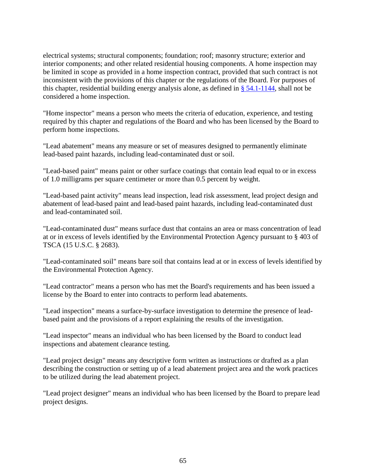electrical systems; structural components; foundation; roof; masonry structure; exterior and interior components; and other related residential housing components. A home inspection may be limited in scope as provided in a home inspection contract, provided that such contract is not inconsistent with the provisions of this chapter or the regulations of the Board. For purposes of this chapter, residential building energy analysis alone, as defined in  $\S$  [54.1-1144,](http://law.lis.virginia.gov/vacode/54.1-1144/) shall not be considered a home inspection.

"Home inspector" means a person who meets the criteria of education, experience, and testing required by this chapter and regulations of the Board and who has been licensed by the Board to perform home inspections.

"Lead abatement" means any measure or set of measures designed to permanently eliminate lead-based paint hazards, including lead-contaminated dust or soil.

"Lead-based paint" means paint or other surface coatings that contain lead equal to or in excess of 1.0 milligrams per square centimeter or more than 0.5 percent by weight.

"Lead-based paint activity" means lead inspection, lead risk assessment, lead project design and abatement of lead-based paint and lead-based paint hazards, including lead-contaminated dust and lead-contaminated soil.

"Lead-contaminated dust" means surface dust that contains an area or mass concentration of lead at or in excess of levels identified by the Environmental Protection Agency pursuant to § 403 of TSCA (15 U.S.C. § 2683).

"Lead-contaminated soil" means bare soil that contains lead at or in excess of levels identified by the Environmental Protection Agency.

"Lead contractor" means a person who has met the Board's requirements and has been issued a license by the Board to enter into contracts to perform lead abatements.

"Lead inspection" means a surface-by-surface investigation to determine the presence of leadbased paint and the provisions of a report explaining the results of the investigation.

"Lead inspector" means an individual who has been licensed by the Board to conduct lead inspections and abatement clearance testing.

"Lead project design" means any descriptive form written as instructions or drafted as a plan describing the construction or setting up of a lead abatement project area and the work practices to be utilized during the lead abatement project.

"Lead project designer" means an individual who has been licensed by the Board to prepare lead project designs.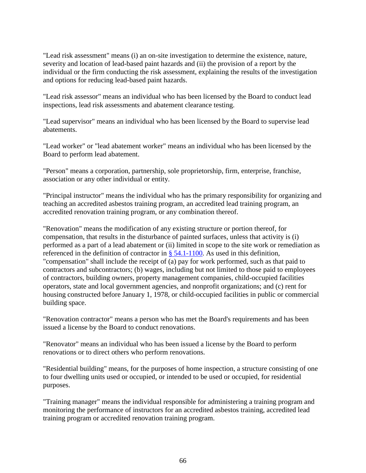"Lead risk assessment" means (i) an on-site investigation to determine the existence, nature, severity and location of lead-based paint hazards and (ii) the provision of a report by the individual or the firm conducting the risk assessment, explaining the results of the investigation and options for reducing lead-based paint hazards.

"Lead risk assessor" means an individual who has been licensed by the Board to conduct lead inspections, lead risk assessments and abatement clearance testing.

"Lead supervisor" means an individual who has been licensed by the Board to supervise lead abatements.

"Lead worker" or "lead abatement worker" means an individual who has been licensed by the Board to perform lead abatement.

"Person" means a corporation, partnership, sole proprietorship, firm, enterprise, franchise, association or any other individual or entity.

"Principal instructor" means the individual who has the primary responsibility for organizing and teaching an accredited asbestos training program, an accredited lead training program, an accredited renovation training program, or any combination thereof.

"Renovation" means the modification of any existing structure or portion thereof, for compensation, that results in the disturbance of painted surfaces, unless that activity is (i) performed as a part of a lead abatement or (ii) limited in scope to the site work or remediation as referenced in the definition of contractor in § [54.1-1100.](http://law.lis.virginia.gov/vacode/54.1-1100/) As used in this definition, "compensation" shall include the receipt of (a) pay for work performed, such as that paid to contractors and subcontractors; (b) wages, including but not limited to those paid to employees of contractors, building owners, property management companies, child-occupied facilities operators, state and local government agencies, and nonprofit organizations; and (c) rent for housing constructed before January 1, 1978, or child-occupied facilities in public or commercial building space.

"Renovation contractor" means a person who has met the Board's requirements and has been issued a license by the Board to conduct renovations.

"Renovator" means an individual who has been issued a license by the Board to perform renovations or to direct others who perform renovations.

"Residential building" means, for the purposes of home inspection, a structure consisting of one to four dwelling units used or occupied, or intended to be used or occupied, for residential purposes.

"Training manager" means the individual responsible for administering a training program and monitoring the performance of instructors for an accredited asbestos training, accredited lead training program or accredited renovation training program.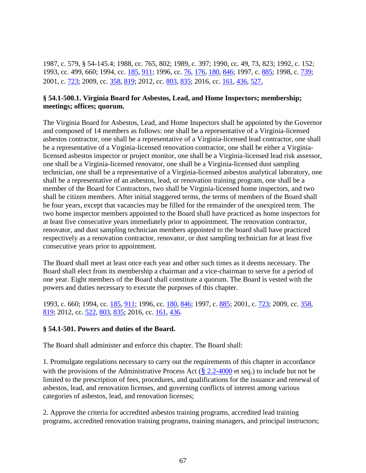1987, c. 579, § 54-145.4; 1988, cc. 765, 802; 1989, c. 397; 1990, cc. 49, 73, 823; 1992, c. 152; 1993, cc. 499, 660; 1994, cc. [185,](http://lis.virginia.gov/cgi-bin/legp604.exe?941+ful+CHAP0185) [911;](http://lis.virginia.gov/cgi-bin/legp604.exe?941+ful+CHAP0911) 1996, cc. [76,](http://lis.virginia.gov/cgi-bin/legp604.exe?961+ful+CHAP0076) [176,](http://lis.virginia.gov/cgi-bin/legp604.exe?961+ful+CHAP0176) [180,](http://lis.virginia.gov/cgi-bin/legp604.exe?961+ful+CHAP0180) [846;](http://lis.virginia.gov/cgi-bin/legp604.exe?961+ful+CHAP0846) 1997, c[. 885;](http://lis.virginia.gov/cgi-bin/legp604.exe?971+ful+CHAP0885) 1998, c. [739;](http://lis.virginia.gov/cgi-bin/legp604.exe?981+ful+CHAP0739) 2001, c. [723;](http://lis.virginia.gov/cgi-bin/legp604.exe?011+ful+CHAP0723) 2009, cc. [358,](http://lis.virginia.gov/cgi-bin/legp604.exe?091+ful+CHAP0358) [819;](http://lis.virginia.gov/cgi-bin/legp604.exe?091+ful+CHAP0819) 2012, cc. [803,](http://lis.virginia.gov/cgi-bin/legp604.exe?121+ful+CHAP0803) [835;](http://lis.virginia.gov/cgi-bin/legp604.exe?121+ful+CHAP0835) 2016, cc. [161,](http://lis.virginia.gov/cgi-bin/legp604.exe?161+ful+CHAP0161) [436,](http://lis.virginia.gov/cgi-bin/legp604.exe?161+ful+CHAP0436) [527](http://lis.virginia.gov/cgi-bin/legp604.exe?161+ful+CHAP0527).

#### **§ 54.1-500.1. Virginia Board for Asbestos, Lead, and Home Inspectors; membership; meetings; offices; quorum.**

The Virginia Board for Asbestos, Lead, and Home Inspectors shall be appointed by the Governor and composed of 14 members as follows: one shall be a representative of a Virginia-licensed asbestos contractor, one shall be a representative of a Virginia-licensed lead contractor, one shall be a representative of a Virginia-licensed renovation contractor, one shall be either a Virginialicensed asbestos inspector or project monitor, one shall be a Virginia-licensed lead risk assessor, one shall be a Virginia-licensed renovator, one shall be a Virginia-licensed dust sampling technician, one shall be a representative of a Virginia-licensed asbestos analytical laboratory, one shall be a representative of an asbestos, lead, or renovation training program, one shall be a member of the Board for Contractors, two shall be Virginia-licensed home inspectors, and two shall be citizen members. After initial staggered terms, the terms of members of the Board shall be four years, except that vacancies may be filled for the remainder of the unexpired term. The two home inspector members appointed to the Board shall have practiced as home inspectors for at least five consecutive years immediately prior to appointment. The renovation contractor, renovator, and dust sampling technician members appointed to the board shall have practiced respectively as a renovation contractor, renovator, or dust sampling technician for at least five consecutive years prior to appointment.

The Board shall meet at least once each year and other such times as it deems necessary. The Board shall elect from its membership a chairman and a vice-chairman to serve for a period of one year. Eight members of the Board shall constitute a quorum. The Board is vested with the powers and duties necessary to execute the purposes of this chapter.

1993, c. 660; 1994, cc. [185,](http://lis.virginia.gov/cgi-bin/legp604.exe?941+ful+CHAP0185) [911;](http://lis.virginia.gov/cgi-bin/legp604.exe?941+ful+CHAP0911) 1996, cc. [180,](http://lis.virginia.gov/cgi-bin/legp604.exe?961+ful+CHAP0180) [846;](http://lis.virginia.gov/cgi-bin/legp604.exe?961+ful+CHAP0846) 1997, c. [885;](http://lis.virginia.gov/cgi-bin/legp604.exe?971+ful+CHAP0885) 2001, c. [723;](http://lis.virginia.gov/cgi-bin/legp604.exe?011+ful+CHAP0723) 2009, cc. [358,](http://lis.virginia.gov/cgi-bin/legp604.exe?091+ful+CHAP0358) [819;](http://lis.virginia.gov/cgi-bin/legp604.exe?091+ful+CHAP0819) 2012, cc. [522,](http://lis.virginia.gov/cgi-bin/legp604.exe?121+ful+CHAP0522) [803,](http://lis.virginia.gov/cgi-bin/legp604.exe?121+ful+CHAP0803) [835;](http://lis.virginia.gov/cgi-bin/legp604.exe?121+ful+CHAP0835) 2016, cc. [161,](http://lis.virginia.gov/cgi-bin/legp604.exe?161+ful+CHAP0161) [436.](http://lis.virginia.gov/cgi-bin/legp604.exe?161+ful+CHAP0436)

## **§ 54.1-501. Powers and duties of the Board.**

The Board shall administer and enforce this chapter. The Board shall:

1. Promulgate regulations necessary to carry out the requirements of this chapter in accordance with the provisions of the Administrative Process Act  $(\frac{8}{2.2}2.4000)$  et seq.) to include but not be limited to the prescription of fees, procedures, and qualifications for the issuance and renewal of asbestos, lead, and renovation licenses, and governing conflicts of interest among various categories of asbestos, lead, and renovation licenses;

2. Approve the criteria for accredited asbestos training programs, accredited lead training programs, accredited renovation training programs, training managers, and principal instructors;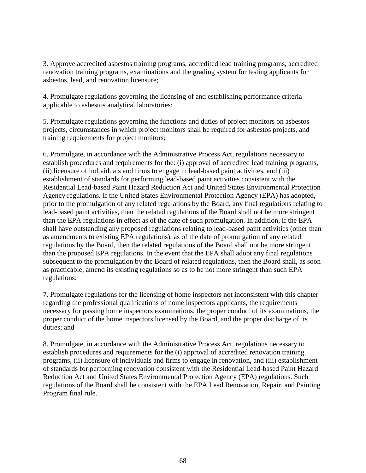3. Approve accredited asbestos training programs, accredited lead training programs, accredited renovation training programs, examinations and the grading system for testing applicants for asbestos, lead, and renovation licensure;

4. Promulgate regulations governing the licensing of and establishing performance criteria applicable to asbestos analytical laboratories;

5. Promulgate regulations governing the functions and duties of project monitors on asbestos projects, circumstances in which project monitors shall be required for asbestos projects, and training requirements for project monitors;

6. Promulgate, in accordance with the Administrative Process Act, regulations necessary to establish procedures and requirements for the: (i) approval of accredited lead training programs, (ii) licensure of individuals and firms to engage in lead-based paint activities, and (iii) establishment of standards for performing lead-based paint activities consistent with the Residential Lead-based Paint Hazard Reduction Act and United States Environmental Protection Agency regulations. If the United States Environmental Protection Agency (EPA) has adopted, prior to the promulgation of any related regulations by the Board, any final regulations relating to lead-based paint activities, then the related regulations of the Board shall not be more stringent than the EPA regulations in effect as of the date of such promulgation. In addition, if the EPA shall have outstanding any proposed regulations relating to lead-based paint activities (other than as amendments to existing EPA regulations), as of the date of promulgation of any related regulations by the Board, then the related regulations of the Board shall not be more stringent than the proposed EPA regulations. In the event that the EPA shall adopt any final regulations subsequent to the promulgation by the Board of related regulations, then the Board shall, as soon as practicable, amend its existing regulations so as to be not more stringent than such EPA regulations;

7. Promulgate regulations for the licensing of home inspectors not inconsistent with this chapter regarding the professional qualifications of home inspectors applicants, the requirements necessary for passing home inspectors examinations, the proper conduct of its examinations, the proper conduct of the home inspectors licensed by the Board, and the proper discharge of its duties; and

8. Promulgate, in accordance with the Administrative Process Act, regulations necessary to establish procedures and requirements for the (i) approval of accredited renovation training programs, (ii) licensure of individuals and firms to engage in renovation, and (iii) establishment of standards for performing renovation consistent with the Residential Lead-based Paint Hazard Reduction Act and United States Environmental Protection Agency (EPA) regulations. Such regulations of the Board shall be consistent with the EPA Lead Renovation, Repair, and Painting Program final rule.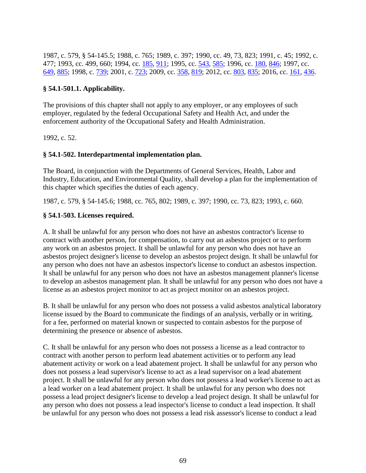1987, c. 579, § 54-145.5; 1988, c. 765; 1989, c. 397; 1990, cc. 49, 73, 823; 1991, c. 45; 1992, c. 477; 1993, cc. 499, 660; 1994, cc. [185,](http://lis.virginia.gov/cgi-bin/legp604.exe?941+ful+CHAP0185) [911;](http://lis.virginia.gov/cgi-bin/legp604.exe?941+ful+CHAP0911) 1995, cc. [543,](http://lis.virginia.gov/cgi-bin/legp604.exe?951+ful+CHAP0543) [585;](http://lis.virginia.gov/cgi-bin/legp604.exe?951+ful+CHAP0585) 1996, cc. [180,](http://lis.virginia.gov/cgi-bin/legp604.exe?961+ful+CHAP0180) [846;](http://lis.virginia.gov/cgi-bin/legp604.exe?961+ful+CHAP0846) 1997, cc. [649,](http://lis.virginia.gov/cgi-bin/legp604.exe?971+ful+CHAP0649) [885;](http://lis.virginia.gov/cgi-bin/legp604.exe?971+ful+CHAP0885) 1998, c. [739;](http://lis.virginia.gov/cgi-bin/legp604.exe?981+ful+CHAP0739) 2001, c. [723;](http://lis.virginia.gov/cgi-bin/legp604.exe?011+ful+CHAP0723) 2009, cc. [358,](http://lis.virginia.gov/cgi-bin/legp604.exe?091+ful+CHAP0358) [819;](http://lis.virginia.gov/cgi-bin/legp604.exe?091+ful+CHAP0819) 2012, cc. [803,](http://lis.virginia.gov/cgi-bin/legp604.exe?121+ful+CHAP0803) [835;](http://lis.virginia.gov/cgi-bin/legp604.exe?121+ful+CHAP0835) 2016, cc. [161,](http://lis.virginia.gov/cgi-bin/legp604.exe?161+ful+CHAP0161) [436.](http://lis.virginia.gov/cgi-bin/legp604.exe?161+ful+CHAP0436)

## **§ 54.1-501.1. Applicability.**

The provisions of this chapter shall not apply to any employer, or any employees of such employer, regulated by the federal Occupational Safety and Health Act, and under the enforcement authority of the Occupational Safety and Health Administration.

1992, c. 52.

## **§ 54.1-502. Interdepartmental implementation plan.**

The Board, in conjunction with the Departments of General Services, Health, Labor and Industry, Education, and Environmental Quality, shall develop a plan for the implementation of this chapter which specifies the duties of each agency.

1987, c. 579, § 54-145.6; 1988, cc. 765, 802; 1989, c. 397; 1990, cc. 73, 823; 1993, c. 660.

## **§ 54.1-503. Licenses required.**

A. It shall be unlawful for any person who does not have an asbestos contractor's license to contract with another person, for compensation, to carry out an asbestos project or to perform any work on an asbestos project. It shall be unlawful for any person who does not have an asbestos project designer's license to develop an asbestos project design. It shall be unlawful for any person who does not have an asbestos inspector's license to conduct an asbestos inspection. It shall be unlawful for any person who does not have an asbestos management planner's license to develop an asbestos management plan. It shall be unlawful for any person who does not have a license as an asbestos project monitor to act as project monitor on an asbestos project.

B. It shall be unlawful for any person who does not possess a valid asbestos analytical laboratory license issued by the Board to communicate the findings of an analysis, verbally or in writing, for a fee, performed on material known or suspected to contain asbestos for the purpose of determining the presence or absence of asbestos.

C. It shall be unlawful for any person who does not possess a license as a lead contractor to contract with another person to perform lead abatement activities or to perform any lead abatement activity or work on a lead abatement project. It shall be unlawful for any person who does not possess a lead supervisor's license to act as a lead supervisor on a lead abatement project. It shall be unlawful for any person who does not possess a lead worker's license to act as a lead worker on a lead abatement project. It shall be unlawful for any person who does not possess a lead project designer's license to develop a lead project design. It shall be unlawful for any person who does not possess a lead inspector's license to conduct a lead inspection. It shall be unlawful for any person who does not possess a lead risk assessor's license to conduct a lead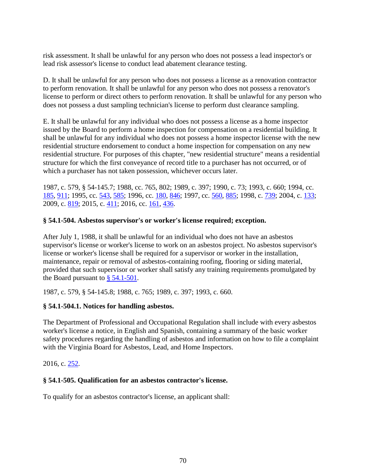risk assessment. It shall be unlawful for any person who does not possess a lead inspector's or lead risk assessor's license to conduct lead abatement clearance testing.

D. It shall be unlawful for any person who does not possess a license as a renovation contractor to perform renovation. It shall be unlawful for any person who does not possess a renovator's license to perform or direct others to perform renovation. It shall be unlawful for any person who does not possess a dust sampling technician's license to perform dust clearance sampling.

E. It shall be unlawful for any individual who does not possess a license as a home inspector issued by the Board to perform a home inspection for compensation on a residential building. It shall be unlawful for any individual who does not possess a home inspector license with the new residential structure endorsement to conduct a home inspection for compensation on any new residential structure. For purposes of this chapter, "new residential structure" means a residential structure for which the first conveyance of record title to a purchaser has not occurred, or of which a purchaser has not taken possession, whichever occurs later.

1987, c. 579, § 54-145.7; 1988, cc. 765, 802; 1989, c. 397; 1990, c. 73; 1993, c. 660; 1994, cc. [185,](http://lis.virginia.gov/cgi-bin/legp604.exe?941+ful+CHAP0185) [911;](http://lis.virginia.gov/cgi-bin/legp604.exe?941+ful+CHAP0911) 1995, cc. [543,](http://lis.virginia.gov/cgi-bin/legp604.exe?951+ful+CHAP0543) [585;](http://lis.virginia.gov/cgi-bin/legp604.exe?951+ful+CHAP0585) 1996, cc. [180,](http://lis.virginia.gov/cgi-bin/legp604.exe?961+ful+CHAP0180) [846;](http://lis.virginia.gov/cgi-bin/legp604.exe?961+ful+CHAP0846) 1997, cc. [560,](http://lis.virginia.gov/cgi-bin/legp604.exe?971+ful+CHAP0560) [885;](http://lis.virginia.gov/cgi-bin/legp604.exe?971+ful+CHAP0885) 1998, c. [739;](http://lis.virginia.gov/cgi-bin/legp604.exe?981+ful+CHAP0739) 2004, c. [133;](http://lis.virginia.gov/cgi-bin/legp604.exe?041+ful+CHAP0133) 2009, c. [819;](http://lis.virginia.gov/cgi-bin/legp604.exe?091+ful+CHAP0819) 2015, c. [411;](http://lis.virginia.gov/cgi-bin/legp604.exe?151+ful+CHAP0411) 2016, cc. [161,](http://lis.virginia.gov/cgi-bin/legp604.exe?161+ful+CHAP0161) [436.](http://lis.virginia.gov/cgi-bin/legp604.exe?161+ful+CHAP0436)

## **§ 54.1-504. Asbestos supervisor's or worker's license required; exception.**

After July 1, 1988, it shall be unlawful for an individual who does not have an asbestos supervisor's license or worker's license to work on an asbestos project. No asbestos supervisor's license or worker's license shall be required for a supervisor or worker in the installation, maintenance, repair or removal of asbestos-containing roofing, flooring or siding material, provided that such supervisor or worker shall satisfy any training requirements promulgated by the Board pursuant to  $\frac{8}{9}$  [54.1-501.](http://law.lis.virginia.gov/vacode/54.1-501/)

1987, c. 579, § 54-145.8; 1988, c. 765; 1989, c. 397; 1993, c. 660.

# **§ 54.1-504.1. Notices for handling asbestos.**

The Department of Professional and Occupational Regulation shall include with every asbestos worker's license a notice, in English and Spanish, containing a summary of the basic worker safety procedures regarding the handling of asbestos and information on how to file a complaint with the Virginia Board for Asbestos, Lead, and Home Inspectors.

2016, c. [252.](http://lis.virginia.gov/cgi-bin/legp604.exe?161+ful+CHAP0252)

# **§ 54.1-505. Qualification for an asbestos contractor's license.**

To qualify for an asbestos contractor's license, an applicant shall: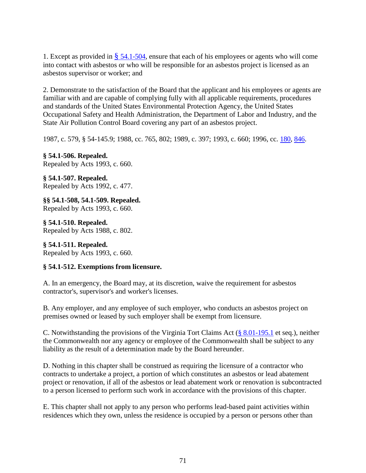1. Except as provided in  $\S$  [54.1-504,](http://law.lis.virginia.gov/vacode/54.1-504/) ensure that each of his employees or agents who will come into contact with asbestos or who will be responsible for an asbestos project is licensed as an asbestos supervisor or worker; and

2. Demonstrate to the satisfaction of the Board that the applicant and his employees or agents are familiar with and are capable of complying fully with all applicable requirements, procedures and standards of the United States Environmental Protection Agency, the United States Occupational Safety and Health Administration, the Department of Labor and Industry, and the State Air Pollution Control Board covering any part of an asbestos project.

1987, c. 579, § 54-145.9; 1988, cc. 765, 802; 1989, c. 397; 1993, c. 660; 1996, cc. [180,](http://lis.virginia.gov/cgi-bin/legp604.exe?961+ful+CHAP0180) [846.](http://lis.virginia.gov/cgi-bin/legp604.exe?961+ful+CHAP0846)

**§ 54.1-506. Repealed.** Repealed by Acts 1993, c. 660.

**§ 54.1-507. Repealed.** Repealed by Acts 1992, c. 477.

**§§ 54.1-508, 54.1-509. Repealed.** Repealed by Acts 1993, c. 660.

**§ 54.1-510. Repealed.** Repealed by Acts 1988, c. 802.

**§ 54.1-511. Repealed.** Repealed by Acts 1993, c. 660.

## **§ 54.1-512. Exemptions from licensure.**

A. In an emergency, the Board may, at its discretion, waive the requirement for asbestos contractor's, supervisor's and worker's licenses.

B. Any employer, and any employee of such employer, who conducts an asbestos project on premises owned or leased by such employer shall be exempt from licensure.

C. Notwithstanding the provisions of the Virginia Tort Claims Act (§ [8.01-195.1](http://law.lis.virginia.gov/vacode/8.01-195.1/) et seq.), neither the Commonwealth nor any agency or employee of the Commonwealth shall be subject to any liability as the result of a determination made by the Board hereunder.

D. Nothing in this chapter shall be construed as requiring the licensure of a contractor who contracts to undertake a project, a portion of which constitutes an asbestos or lead abatement project or renovation, if all of the asbestos or lead abatement work or renovation is subcontracted to a person licensed to perform such work in accordance with the provisions of this chapter.

E. This chapter shall not apply to any person who performs lead-based paint activities within residences which they own, unless the residence is occupied by a person or persons other than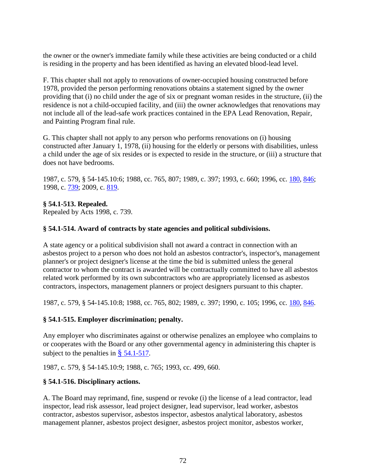the owner or the owner's immediate family while these activities are being conducted or a child is residing in the property and has been identified as having an elevated blood-lead level.

F. This chapter shall not apply to renovations of owner-occupied housing constructed before 1978, provided the person performing renovations obtains a statement signed by the owner providing that (i) no child under the age of six or pregnant woman resides in the structure, (ii) the residence is not a child-occupied facility, and (iii) the owner acknowledges that renovations may not include all of the lead-safe work practices contained in the EPA Lead Renovation, Repair, and Painting Program final rule.

G. This chapter shall not apply to any person who performs renovations on (i) housing constructed after January 1, 1978, (ii) housing for the elderly or persons with disabilities, unless a child under the age of six resides or is expected to reside in the structure, or (iii) a structure that does not have bedrooms.

1987, c. 579, § 54-145.10:6; 1988, cc. 765, 807; 1989, c. 397; 1993, c. 660; 1996, cc. [180,](http://lis.virginia.gov/cgi-bin/legp604.exe?961+ful+CHAP0180) [846;](http://lis.virginia.gov/cgi-bin/legp604.exe?961+ful+CHAP0846) 1998, c. [739;](http://lis.virginia.gov/cgi-bin/legp604.exe?981+ful+CHAP0739) 2009, c. [819.](http://lis.virginia.gov/cgi-bin/legp604.exe?091+ful+CHAP0819)

## **§ 54.1-513. Repealed.**

Repealed by Acts 1998, c. [739.](http://lis.virginia.gov/cgi-bin/legp604.exe?981+ful+CHAP0739)

## **§ 54.1-514. Award of contracts by state agencies and political subdivisions.**

A state agency or a political subdivision shall not award a contract in connection with an asbestos project to a person who does not hold an asbestos contractor's, inspector's, management planner's or project designer's license at the time the bid is submitted unless the general contractor to whom the contract is awarded will be contractually committed to have all asbestos related work performed by its own subcontractors who are appropriately licensed as asbestos contractors, inspectors, management planners or project designers pursuant to this chapter.

1987, c. 579, § 54-145.10:8; 1988, cc. 765, 802; 1989, c. 397; 1990, c. 105; 1996, cc. [180,](http://lis.virginia.gov/cgi-bin/legp604.exe?961+ful+CHAP0180) [846.](http://lis.virginia.gov/cgi-bin/legp604.exe?961+ful+CHAP0846)

## **§ 54.1-515. Employer discrimination; penalty.**

Any employer who discriminates against or otherwise penalizes an employee who complains to or cooperates with the Board or any other governmental agency in administering this chapter is subject to the penalties in  $\S$  [54.1-517.](http://law.lis.virginia.gov/vacode/54.1-517/)

1987, c. 579, § 54-145.10:9; 1988, c. 765; 1993, cc. 499, 660.

## **§ 54.1-516. Disciplinary actions.**

A. The Board may reprimand, fine, suspend or revoke (i) the license of a lead contractor, lead inspector, lead risk assessor, lead project designer, lead supervisor, lead worker, asbestos contractor, asbestos supervisor, asbestos inspector, asbestos analytical laboratory, asbestos management planner, asbestos project designer, asbestos project monitor, asbestos worker,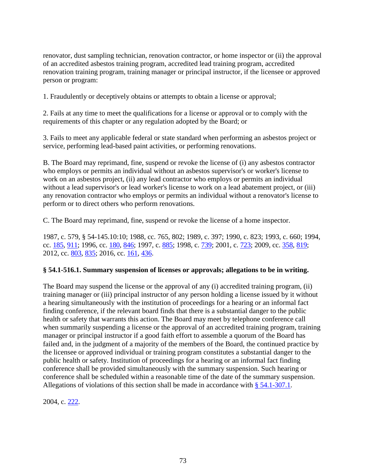renovator, dust sampling technician, renovation contractor, or home inspector or (ii) the approval of an accredited asbestos training program, accredited lead training program, accredited renovation training program, training manager or principal instructor, if the licensee or approved person or program:

1. Fraudulently or deceptively obtains or attempts to obtain a license or approval;

2. Fails at any time to meet the qualifications for a license or approval or to comply with the requirements of this chapter or any regulation adopted by the Board; or

3. Fails to meet any applicable federal or state standard when performing an asbestos project or service, performing lead-based paint activities, or performing renovations.

B. The Board may reprimand, fine, suspend or revoke the license of (i) any asbestos contractor who employs or permits an individual without an asbestos supervisor's or worker's license to work on an asbestos project, (ii) any lead contractor who employs or permits an individual without a lead supervisor's or lead worker's license to work on a lead abatement project, or (iii) any renovation contractor who employs or permits an individual without a renovator's license to perform or to direct others who perform renovations.

C. The Board may reprimand, fine, suspend or revoke the license of a home inspector.

1987, c. 579, § 54-145.10:10; 1988, cc. 765, 802; 1989, c. 397; 1990, c. 823; 1993, c. 660; 1994, cc. [185,](http://lis.virginia.gov/cgi-bin/legp604.exe?941+ful+CHAP0185) [911;](http://lis.virginia.gov/cgi-bin/legp604.exe?941+ful+CHAP0911) 1996, cc. [180,](http://lis.virginia.gov/cgi-bin/legp604.exe?961+ful+CHAP0180) [846;](http://lis.virginia.gov/cgi-bin/legp604.exe?961+ful+CHAP0846) 1997, c. [885;](http://lis.virginia.gov/cgi-bin/legp604.exe?971+ful+CHAP0885) 1998, c. [739;](http://lis.virginia.gov/cgi-bin/legp604.exe?981+ful+CHAP0739) 2001, c. [723;](http://lis.virginia.gov/cgi-bin/legp604.exe?011+ful+CHAP0723) 2009, cc. [358,](http://lis.virginia.gov/cgi-bin/legp604.exe?091+ful+CHAP0358) [819;](http://lis.virginia.gov/cgi-bin/legp604.exe?091+ful+CHAP0819) 2012, cc. [803,](http://lis.virginia.gov/cgi-bin/legp604.exe?121+ful+CHAP0803) [835;](http://lis.virginia.gov/cgi-bin/legp604.exe?121+ful+CHAP0835) 2016, cc. [161,](http://lis.virginia.gov/cgi-bin/legp604.exe?161+ful+CHAP0161) [436.](http://lis.virginia.gov/cgi-bin/legp604.exe?161+ful+CHAP0436)

## **§ 54.1-516.1. Summary suspension of licenses or approvals; allegations to be in writing.**

The Board may suspend the license or the approval of any (i) accredited training program, (ii) training manager or (iii) principal instructor of any person holding a license issued by it without a hearing simultaneously with the institution of proceedings for a hearing or an informal fact finding conference, if the relevant board finds that there is a substantial danger to the public health or safety that warrants this action. The Board may meet by telephone conference call when summarily suspending a license or the approval of an accredited training program, training manager or principal instructor if a good faith effort to assemble a quorum of the Board has failed and, in the judgment of a majority of the members of the Board, the continued practice by the licensee or approved individual or training program constitutes a substantial danger to the public health or safety. Institution of proceedings for a hearing or an informal fact finding conference shall be provided simultaneously with the summary suspension. Such hearing or conference shall be scheduled within a reasonable time of the date of the summary suspension. Allegations of violations of this section shall be made in accordance with § [54.1-307.1.](http://law.lis.virginia.gov/vacode/54.1-307.1/)

2004, c. [222.](http://lis.virginia.gov/cgi-bin/legp604.exe?041+ful+CHAP0222)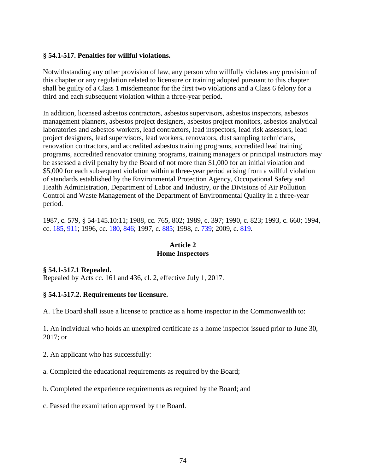#### **§ 54.1-517. Penalties for willful violations.**

Notwithstanding any other provision of law, any person who willfully violates any provision of this chapter or any regulation related to licensure or training adopted pursuant to this chapter shall be guilty of a Class 1 misdemeanor for the first two violations and a Class 6 felony for a third and each subsequent violation within a three-year period.

In addition, licensed asbestos contractors, asbestos supervisors, asbestos inspectors, asbestos management planners, asbestos project designers, asbestos project monitors, asbestos analytical laboratories and asbestos workers, lead contractors, lead inspectors, lead risk assessors, lead project designers, lead supervisors, lead workers, renovators, dust sampling technicians, renovation contractors, and accredited asbestos training programs, accredited lead training programs, accredited renovator training programs, training managers or principal instructors may be assessed a civil penalty by the Board of not more than \$1,000 for an initial violation and \$5,000 for each subsequent violation within a three-year period arising from a willful violation of standards established by the Environmental Protection Agency, Occupational Safety and Health Administration, Department of Labor and Industry, or the Divisions of Air Pollution Control and Waste Management of the Department of Environmental Quality in a three-year period.

1987, c. 579, § 54-145.10:11; 1988, cc. 765, 802; 1989, c. 397; 1990, c. 823; 1993, c. 660; 1994, cc. [185,](http://lis.virginia.gov/cgi-bin/legp604.exe?941+ful+CHAP0185) [911;](http://lis.virginia.gov/cgi-bin/legp604.exe?941+ful+CHAP0911) 1996, cc. [180,](http://lis.virginia.gov/cgi-bin/legp604.exe?961+ful+CHAP0180) [846;](http://lis.virginia.gov/cgi-bin/legp604.exe?961+ful+CHAP0846) 1997, c. [885;](http://lis.virginia.gov/cgi-bin/legp604.exe?971+ful+CHAP0885) 1998, c. [739;](http://lis.virginia.gov/cgi-bin/legp604.exe?981+ful+CHAP0739) 2009, c. [819.](http://lis.virginia.gov/cgi-bin/legp604.exe?091+ful+CHAP0819)

#### **Article 2 Home Inspectors**

## **§ 54.1-517.1 Repealed.**

Repealed by Acts cc. 161 and 436, cl. 2, effective July 1, 2017.

#### **§ 54.1-517.2. Requirements for licensure.**

A. The Board shall issue a license to practice as a home inspector in the Commonwealth to:

1. An individual who holds an unexpired certificate as a home inspector issued prior to June 30, 2017; or

- 2. An applicant who has successfully:
- a. Completed the educational requirements as required by the Board;
- b. Completed the experience requirements as required by the Board; and
- c. Passed the examination approved by the Board.